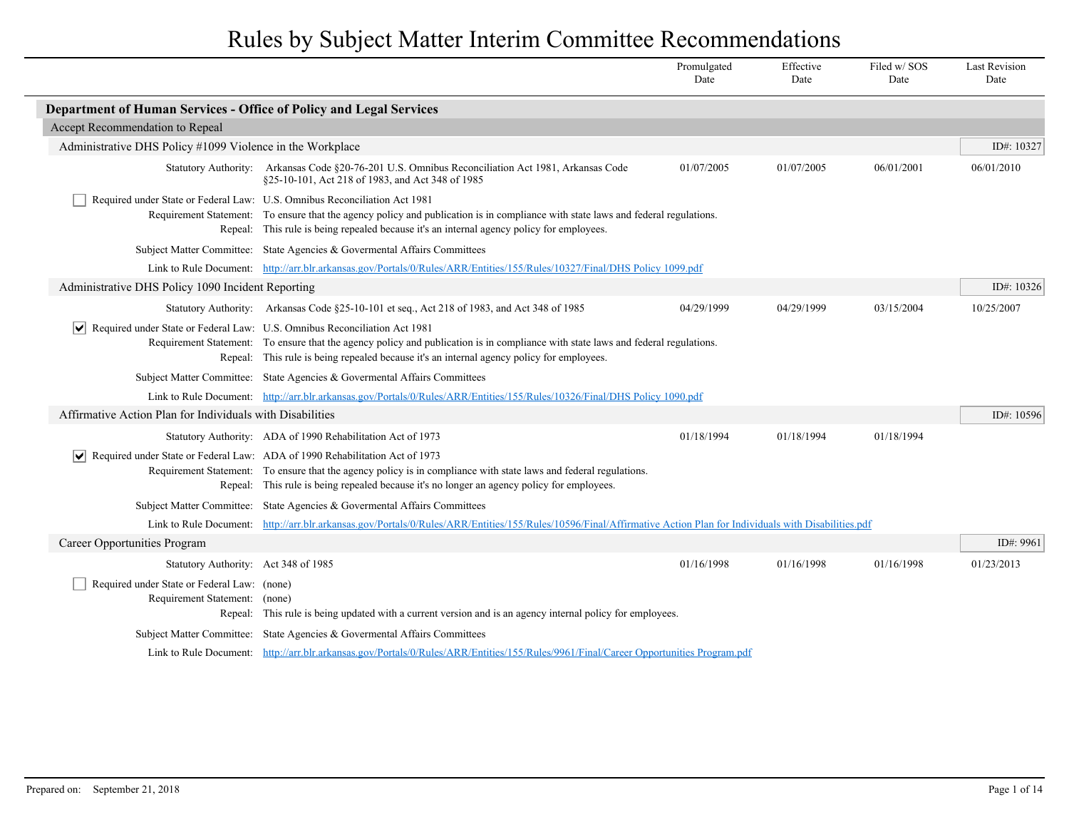Rules by Subject Matter Interim Committee Recommendations

|                                                                              |                                                                                                                                                                                                                                                                                                             | Promulgated<br>Date | Effective<br>Date | Filed w/SOS<br>Date | <b>Last Revision</b><br>Date |
|------------------------------------------------------------------------------|-------------------------------------------------------------------------------------------------------------------------------------------------------------------------------------------------------------------------------------------------------------------------------------------------------------|---------------------|-------------------|---------------------|------------------------------|
| Department of Human Services - Office of Policy and Legal Services           |                                                                                                                                                                                                                                                                                                             |                     |                   |                     |                              |
| Accept Recommendation to Repeal                                              |                                                                                                                                                                                                                                                                                                             |                     |                   |                     |                              |
| Administrative DHS Policy #1099 Violence in the Workplace                    |                                                                                                                                                                                                                                                                                                             |                     |                   |                     | ID#: 10327                   |
|                                                                              | Statutory Authority: Arkansas Code §20-76-201 U.S. Omnibus Reconciliation Act 1981, Arkansas Code<br>§25-10-101, Act 218 of 1983, and Act 348 of 1985                                                                                                                                                       | 01/07/2005          | 01/07/2005        | 06/01/2001          | 06/01/2010                   |
|                                                                              | Required under State or Federal Law: U.S. Omnibus Reconciliation Act 1981<br>Requirement Statement: To ensure that the agency policy and publication is in compliance with state laws and federal regulations.<br>Repeal: This rule is being repealed because it's an internal agency policy for employees. |                     |                   |                     |                              |
|                                                                              | Subject Matter Committee: State Agencies & Governental Affairs Committees                                                                                                                                                                                                                                   |                     |                   |                     |                              |
|                                                                              | Link to Rule Document: http://arr.blr.arkansas.gov/Portals/0/Rules/ARR/Entities/155/Rules/10327/Final/DHS Policy 1099.pdf                                                                                                                                                                                   |                     |                   |                     |                              |
| Administrative DHS Policy 1090 Incident Reporting                            |                                                                                                                                                                                                                                                                                                             |                     |                   |                     | ID#: 10326                   |
|                                                                              | Statutory Authority: Arkansas Code §25-10-101 et seq., Act 218 of 1983, and Act 348 of 1985                                                                                                                                                                                                                 | 04/29/1999          | 04/29/1999        | 03/15/2004          | 10/25/2007                   |
| $ \vee $                                                                     | Required under State or Federal Law: U.S. Omnibus Reconciliation Act 1981<br>Requirement Statement: To ensure that the agency policy and publication is in compliance with state laws and federal regulations.<br>Repeal: This rule is being repealed because it's an internal agency policy for employees. |                     |                   |                     |                              |
|                                                                              | Subject Matter Committee: State Agencies & Governental Affairs Committees                                                                                                                                                                                                                                   |                     |                   |                     |                              |
|                                                                              | Link to Rule Document: http://arr.blr.arkansas.gov/Portals/0/Rules/ARR/Entities/155/Rules/10326/Final/DHS Policy 1090.pdf                                                                                                                                                                                   |                     |                   |                     |                              |
| Affirmative Action Plan for Individuals with Disabilities                    |                                                                                                                                                                                                                                                                                                             |                     |                   |                     | ID#: 10596                   |
|                                                                              | Statutory Authority: ADA of 1990 Rehabilitation Act of 1973                                                                                                                                                                                                                                                 | 01/18/1994          | 01/18/1994        | 01/18/1994          |                              |
| $ \vee $                                                                     | Required under State or Federal Law: ADA of 1990 Rehabilitation Act of 1973<br>Requirement Statement: To ensure that the agency policy is in compliance with state laws and federal regulations.<br>Repeal: This rule is being repealed because it's no longer an agency policy for employees.              |                     |                   |                     |                              |
|                                                                              | Subject Matter Committee: State Agencies & Governental Affairs Committees                                                                                                                                                                                                                                   |                     |                   |                     |                              |
|                                                                              | Link to Rule Document: http://arr.blr.arkansas.gov/Portals/0/Rules/ARR/Entities/155/Rules/10596/Final/Affirmative Action Plan for Individuals with Disabilities.pdf                                                                                                                                         |                     |                   |                     |                              |
| Career Opportunities Program                                                 |                                                                                                                                                                                                                                                                                                             |                     |                   |                     | ID#: 9961                    |
| Statutory Authority: Act 348 of 1985                                         |                                                                                                                                                                                                                                                                                                             | 01/16/1998          | 01/16/1998        | 01/16/1998          | 01/23/2013                   |
| Required under State or Federal Law: (none)<br>Requirement Statement: (none) | Repeal: This rule is being updated with a current version and is an agency internal policy for employees.                                                                                                                                                                                                   |                     |                   |                     |                              |
|                                                                              | Subject Matter Committee: State Agencies & Governmental Affairs Committees                                                                                                                                                                                                                                  |                     |                   |                     |                              |
|                                                                              | Link to Rule Document: http://arr.blr.arkansas.gov/Portals/0/Rules/ARR/Entities/155/Rules/9961/Final/Career Opportunities Program.pdf                                                                                                                                                                       |                     |                   |                     |                              |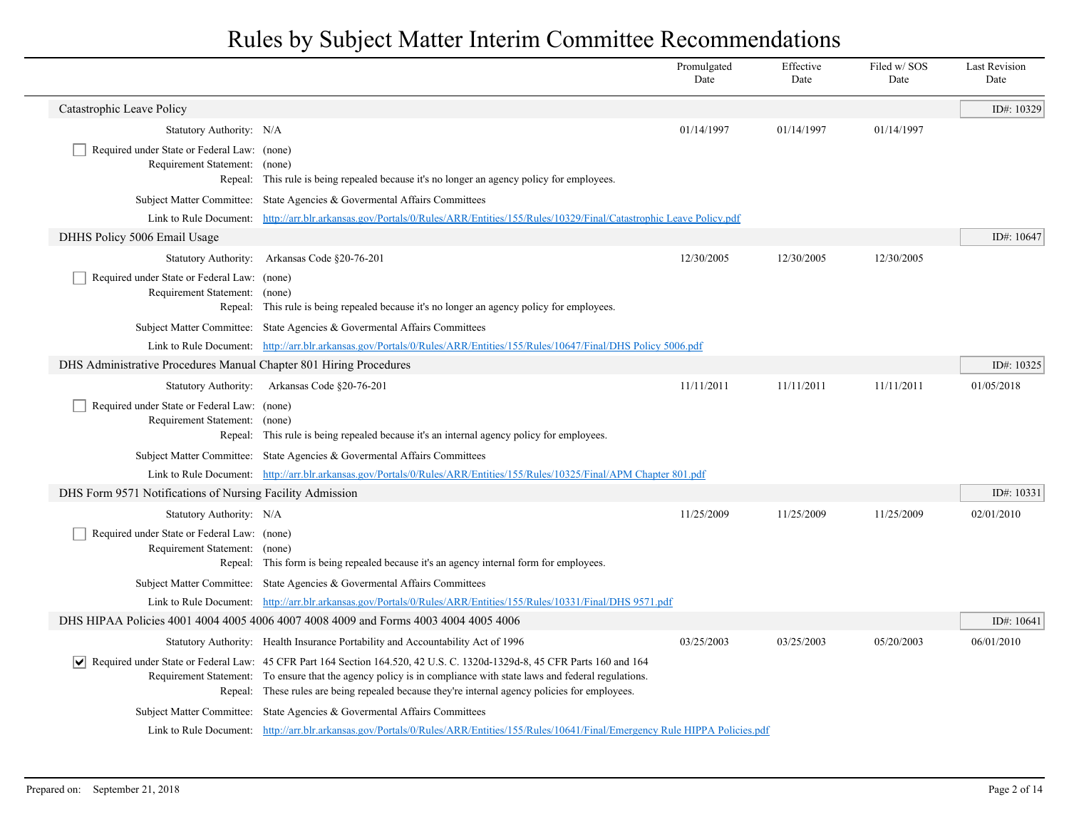|                                                                              |                                                                                                                                                                                                                                                                                                                                                   | Promulgated<br>Date | Effective<br>Date | Filed w/ SOS<br>Date | <b>Last Revision</b><br>Date |
|------------------------------------------------------------------------------|---------------------------------------------------------------------------------------------------------------------------------------------------------------------------------------------------------------------------------------------------------------------------------------------------------------------------------------------------|---------------------|-------------------|----------------------|------------------------------|
| Catastrophic Leave Policy                                                    |                                                                                                                                                                                                                                                                                                                                                   |                     |                   |                      | ID#: 10329                   |
| Statutory Authority: N/A                                                     |                                                                                                                                                                                                                                                                                                                                                   | 01/14/1997          | 01/14/1997        | 01/14/1997           |                              |
| Required under State or Federal Law: (none)<br>Requirement Statement: (none) | Repeal: This rule is being repealed because it's no longer an agency policy for employees.                                                                                                                                                                                                                                                        |                     |                   |                      |                              |
|                                                                              | Subject Matter Committee: State Agencies & Governental Affairs Committees                                                                                                                                                                                                                                                                         |                     |                   |                      |                              |
|                                                                              | Link to Rule Document: http://arr.blr.arkansas.gov/Portals/0/Rules/ARR/Entities/155/Rules/10329/Final/Catastrophic Leave Policy.pdf                                                                                                                                                                                                               |                     |                   |                      |                              |
| DHHS Policy 5006 Email Usage                                                 |                                                                                                                                                                                                                                                                                                                                                   |                     |                   |                      | ID#: 10647                   |
|                                                                              | Statutory Authority: Arkansas Code §20-76-201                                                                                                                                                                                                                                                                                                     | 12/30/2005          | 12/30/2005        | 12/30/2005           |                              |
| Required under State or Federal Law: (none)<br>Requirement Statement: (none) | Repeal: This rule is being repealed because it's no longer an agency policy for employees.                                                                                                                                                                                                                                                        |                     |                   |                      |                              |
|                                                                              | Subject Matter Committee: State Agencies & Governental Affairs Committees                                                                                                                                                                                                                                                                         |                     |                   |                      |                              |
|                                                                              | Link to Rule Document: http://arr.blr.arkansas.gov/Portals/0/Rules/ARR/Entities/155/Rules/10647/Final/DHS Policy 5006.pdf                                                                                                                                                                                                                         |                     |                   |                      |                              |
| DHS Administrative Procedures Manual Chapter 801 Hiring Procedures           |                                                                                                                                                                                                                                                                                                                                                   |                     |                   |                      | ID#: 10325                   |
|                                                                              | Statutory Authority: Arkansas Code §20-76-201                                                                                                                                                                                                                                                                                                     | 11/11/2011          | 11/11/2011        | 11/11/2011           | 01/05/2018                   |
| Required under State or Federal Law: (none)<br>Requirement Statement: (none) | Repeal: This rule is being repealed because it's an internal agency policy for employees.                                                                                                                                                                                                                                                         |                     |                   |                      |                              |
|                                                                              | Subject Matter Committee: State Agencies & Governental Affairs Committees                                                                                                                                                                                                                                                                         |                     |                   |                      |                              |
|                                                                              | Link to Rule Document: http://arr.blr.arkansas.gov/Portals/0/Rules/ARR/Entities/155/Rules/10325/Final/APM Chapter 801.pdf                                                                                                                                                                                                                         |                     |                   |                      |                              |
| DHS Form 9571 Notifications of Nursing Facility Admission                    |                                                                                                                                                                                                                                                                                                                                                   |                     |                   |                      | ID#: 10331                   |
| Statutory Authority: N/A                                                     |                                                                                                                                                                                                                                                                                                                                                   | 11/25/2009          | 11/25/2009        | 11/25/2009           | 02/01/2010                   |
| Required under State or Federal Law: (none)<br>Requirement Statement: (none) | Repeal: This form is being repealed because it's an agency internal form for employees.                                                                                                                                                                                                                                                           |                     |                   |                      |                              |
|                                                                              | Subject Matter Committee: State Agencies & Governental Affairs Committees                                                                                                                                                                                                                                                                         |                     |                   |                      |                              |
|                                                                              | Link to Rule Document: http://arr.blr.arkansas.gov/Portals/0/Rules/ARR/Entities/155/Rules/10331/Final/DHS 9571.pdf                                                                                                                                                                                                                                |                     |                   |                      |                              |
|                                                                              | DHS HIPAA Policies 4001 4004 4005 4006 4007 4008 4009 and Forms 4003 4004 4005 4006                                                                                                                                                                                                                                                               |                     |                   |                      | ID#: 10641                   |
|                                                                              | Statutory Authority: Health Insurance Portability and Accountability Act of 1996                                                                                                                                                                                                                                                                  | 03/25/2003          | 03/25/2003        | 05/20/2003           | 06/01/2010                   |
|                                                                              | √ Required under State or Federal Law: 45 CFR Part 164 Section 164.520, 42 U.S. C. 1320d-1329d-8, 45 CFR Parts 160 and 164<br>Requirement Statement: To ensure that the agency policy is in compliance with state laws and federal regulations.<br>Repeal: These rules are being repealed because they're internal agency policies for employees. |                     |                   |                      |                              |
|                                                                              | Subject Matter Committee: State Agencies & Governental Affairs Committees                                                                                                                                                                                                                                                                         |                     |                   |                      |                              |
|                                                                              | Link to Rule Document: http://arr.blr.arkansas.gov/Portals/0/Rules/ARR/Entities/155/Rules/10641/Final/Emergency Rule HIPPA Policies.pdf                                                                                                                                                                                                           |                     |                   |                      |                              |

 $\overline{\phantom{a}}$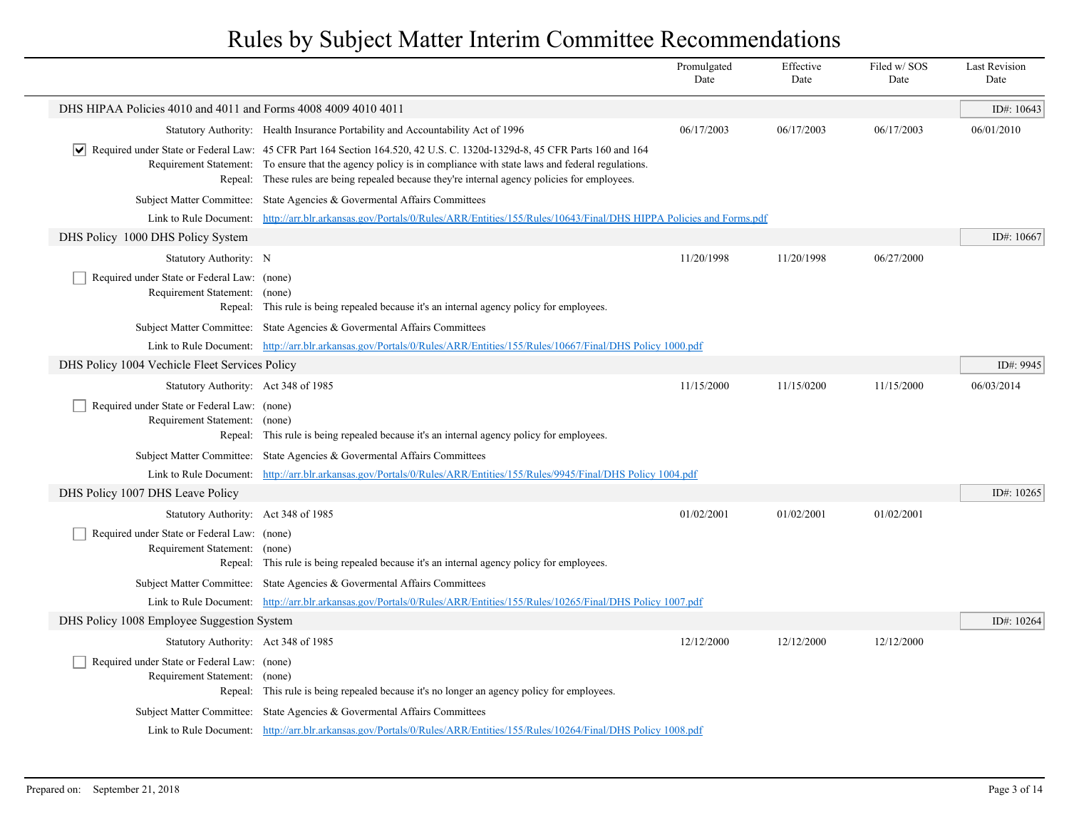|                                                                              |                                                                                                                                                                                                                                                                                                                                                   | Promulgated<br>Date | Effective<br>Date | Filed w/SOS<br>Date | <b>Last Revision</b><br>Date |
|------------------------------------------------------------------------------|---------------------------------------------------------------------------------------------------------------------------------------------------------------------------------------------------------------------------------------------------------------------------------------------------------------------------------------------------|---------------------|-------------------|---------------------|------------------------------|
| DHS HIPAA Policies 4010 and 4011 and Forms 4008 4009 4010 4011               |                                                                                                                                                                                                                                                                                                                                                   |                     |                   |                     | ID#: 10643                   |
|                                                                              | Statutory Authority: Health Insurance Portability and Accountability Act of 1996                                                                                                                                                                                                                                                                  | 06/17/2003          | 06/17/2003        | 06/17/2003          | 06/01/2010                   |
|                                                                              | √ Required under State or Federal Law: 45 CFR Part 164 Section 164.520, 42 U.S. C. 1320d-1329d-8, 45 CFR Parts 160 and 164<br>Requirement Statement: To ensure that the agency policy is in compliance with state laws and federal regulations.<br>Repeal: These rules are being repealed because they're internal agency policies for employees. |                     |                   |                     |                              |
|                                                                              | Subject Matter Committee: State Agencies & Governental Affairs Committees                                                                                                                                                                                                                                                                         |                     |                   |                     |                              |
| Link to Rule Document:                                                       | http://arr.blr.arkansas.gov/Portals/0/Rules/ARR/Entities/155/Rules/10643/Final/DHS HIPPA Policies and Forms.pdf                                                                                                                                                                                                                                   |                     |                   |                     |                              |
| DHS Policy 1000 DHS Policy System                                            |                                                                                                                                                                                                                                                                                                                                                   |                     |                   |                     | ID#: 10667                   |
| Statutory Authority: N                                                       |                                                                                                                                                                                                                                                                                                                                                   | 11/20/1998          | 11/20/1998        | 06/27/2000          |                              |
| Required under State or Federal Law: (none)<br>Requirement Statement:        | (none)<br>Repeal: This rule is being repealed because it's an internal agency policy for employees.                                                                                                                                                                                                                                               |                     |                   |                     |                              |
|                                                                              | Subject Matter Committee: State Agencies & Governental Affairs Committees                                                                                                                                                                                                                                                                         |                     |                   |                     |                              |
|                                                                              | Link to Rule Document: http://arr.blr.arkansas.gov/Portals/0/Rules/ARR/Entities/155/Rules/10667/Final/DHS Policy 1000.pdf                                                                                                                                                                                                                         |                     |                   |                     |                              |
| DHS Policy 1004 Vechicle Fleet Services Policy                               |                                                                                                                                                                                                                                                                                                                                                   |                     |                   |                     | ID#: 9945                    |
| Statutory Authority: Act 348 of 1985                                         |                                                                                                                                                                                                                                                                                                                                                   | 11/15/2000          | 11/15/0200        | 11/15/2000          | 06/03/2014                   |
| Required under State or Federal Law: (none)<br>Requirement Statement:        | (none)<br>Repeal: This rule is being repealed because it's an internal agency policy for employees.                                                                                                                                                                                                                                               |                     |                   |                     |                              |
|                                                                              | Subject Matter Committee: State Agencies & Governental Affairs Committees                                                                                                                                                                                                                                                                         |                     |                   |                     |                              |
|                                                                              | Link to Rule Document: http://arr.blr.arkansas.gov/Portals/0/Rules/ARR/Entities/155/Rules/9945/Final/DHS Policy 1004.pdf                                                                                                                                                                                                                          |                     |                   |                     |                              |
| DHS Policy 1007 DHS Leave Policy                                             |                                                                                                                                                                                                                                                                                                                                                   |                     |                   |                     | ID#: 10265                   |
| Statutory Authority: Act 348 of 1985                                         |                                                                                                                                                                                                                                                                                                                                                   | 01/02/2001          | 01/02/2001        | 01/02/2001          |                              |
| Required under State or Federal Law: (none)<br>Requirement Statement: (none) | Repeal: This rule is being repealed because it's an internal agency policy for employees.                                                                                                                                                                                                                                                         |                     |                   |                     |                              |
|                                                                              | Subject Matter Committee: State Agencies & Governental Affairs Committees                                                                                                                                                                                                                                                                         |                     |                   |                     |                              |
|                                                                              | Link to Rule Document: http://arr.blr.arkansas.gov/Portals/0/Rules/ARR/Entities/155/Rules/10265/Final/DHS Policy 1007.pdf                                                                                                                                                                                                                         |                     |                   |                     |                              |
| DHS Policy 1008 Employee Suggestion System                                   |                                                                                                                                                                                                                                                                                                                                                   |                     |                   |                     | ID#: 10264                   |
| Statutory Authority: Act 348 of 1985                                         |                                                                                                                                                                                                                                                                                                                                                   | 12/12/2000          | 12/12/2000        | 12/12/2000          |                              |
| Required under State or Federal Law: (none)<br>Requirement Statement: (none) | Repeal: This rule is being repealed because it's no longer an agency policy for employees.                                                                                                                                                                                                                                                        |                     |                   |                     |                              |
|                                                                              | Subject Matter Committee: State Agencies & Governental Affairs Committees                                                                                                                                                                                                                                                                         |                     |                   |                     |                              |
|                                                                              | Link to Rule Document: http://arr.blr.arkansas.gov/Portals/0/Rules/ARR/Entities/155/Rules/10264/Final/DHS Policy 1008.pdf                                                                                                                                                                                                                         |                     |                   |                     |                              |
|                                                                              |                                                                                                                                                                                                                                                                                                                                                   |                     |                   |                     |                              |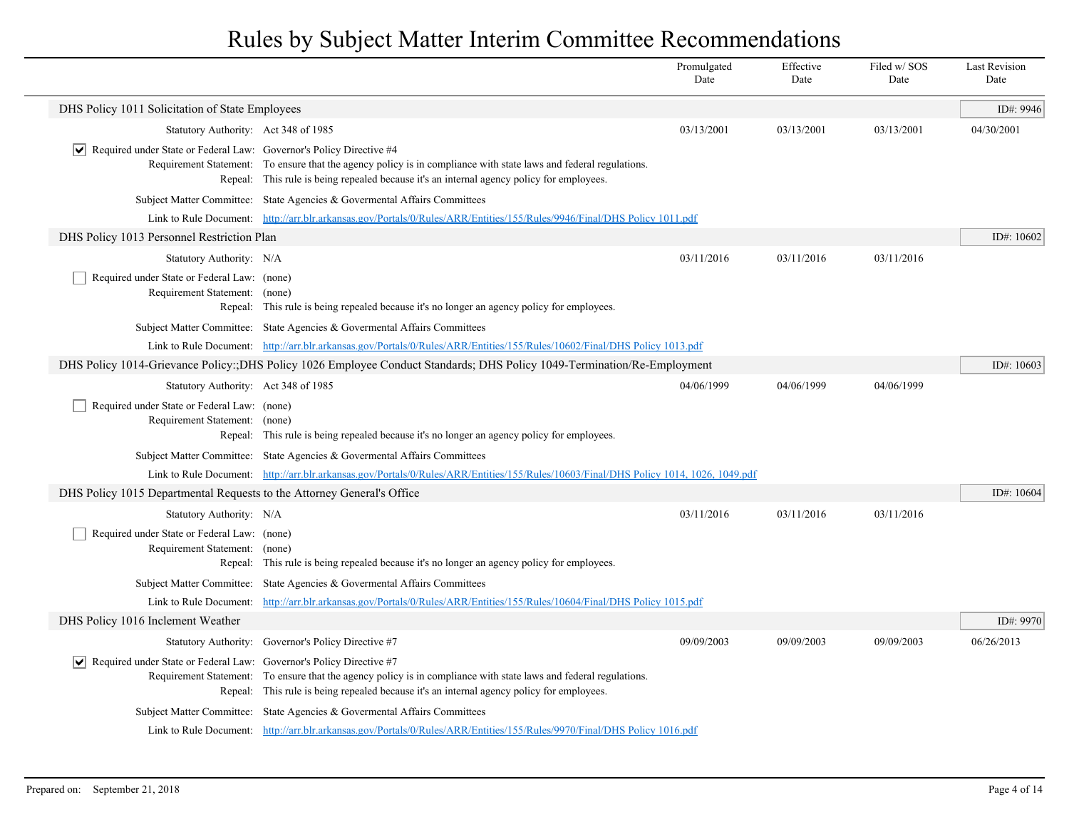|                                                                                    |                                                                                                                                                                                                                | Promulgated<br>Date | Effective<br>Date | Filed w/SOS<br>Date | <b>Last Revision</b><br>Date |
|------------------------------------------------------------------------------------|----------------------------------------------------------------------------------------------------------------------------------------------------------------------------------------------------------------|---------------------|-------------------|---------------------|------------------------------|
| DHS Policy 1011 Solicitation of State Employees                                    |                                                                                                                                                                                                                |                     |                   |                     | ID#: 9946                    |
| Statutory Authority: Act 348 of 1985                                               |                                                                                                                                                                                                                | 03/13/2001          | 03/13/2001        | 03/13/2001          | 04/30/2001                   |
| $ \mathbf{v} $ Required under State or Federal Law: Governor's Policy Directive #4 | Requirement Statement: To ensure that the agency policy is in compliance with state laws and federal regulations.<br>Repeal: This rule is being repealed because it's an internal agency policy for employees. |                     |                   |                     |                              |
|                                                                                    | Subject Matter Committee: State Agencies & Governental Affairs Committees                                                                                                                                      |                     |                   |                     |                              |
|                                                                                    | Link to Rule Document: http://arr.blr.arkansas.gov/Portals/0/Rules/ARR/Entities/155/Rules/9946/Final/DHS Policy 1011.pdf                                                                                       |                     |                   |                     |                              |
| DHS Policy 1013 Personnel Restriction Plan                                         |                                                                                                                                                                                                                |                     |                   |                     | ID#: 10602                   |
| Statutory Authority: N/A                                                           |                                                                                                                                                                                                                | 03/11/2016          | 03/11/2016        | 03/11/2016          |                              |
| Required under State or Federal Law: (none)<br>Requirement Statement: (none)       | Repeal: This rule is being repealed because it's no longer an agency policy for employees.                                                                                                                     |                     |                   |                     |                              |
|                                                                                    | Subject Matter Committee: State Agencies & Governental Affairs Committees                                                                                                                                      |                     |                   |                     |                              |
|                                                                                    | Link to Rule Document: http://arr.blr.arkansas.gov/Portals/0/Rules/ARR/Entities/155/Rules/10602/Final/DHS Policy 1013.pdf                                                                                      |                     |                   |                     |                              |
|                                                                                    | DHS Policy 1014-Grievance Policy:;DHS Policy 1026 Employee Conduct Standards; DHS Policy 1049-Termination/Re-Employment                                                                                        |                     |                   |                     | ID#: $10603$                 |
| Statutory Authority: Act 348 of 1985                                               |                                                                                                                                                                                                                | 04/06/1999          | 04/06/1999        | 04/06/1999          |                              |
| Required under State or Federal Law: (none)<br>Requirement Statement: (none)       | Repeal: This rule is being repealed because it's no longer an agency policy for employees.                                                                                                                     |                     |                   |                     |                              |
|                                                                                    | Subject Matter Committee: State Agencies & Governental Affairs Committees                                                                                                                                      |                     |                   |                     |                              |
|                                                                                    | Link to Rule Document: http://arr.blr.arkansas.gov/Portals/0/Rules/ARR/Entities/155/Rules/10603/Final/DHS Policy 1014, 1026, 1049.pdf                                                                          |                     |                   |                     |                              |
| DHS Policy 1015 Departmental Requests to the Attorney General's Office             |                                                                                                                                                                                                                |                     |                   |                     | ID#: 10604                   |
| Statutory Authority: N/A                                                           |                                                                                                                                                                                                                | 03/11/2016          | 03/11/2016        | 03/11/2016          |                              |
| Required under State or Federal Law: (none)<br>Requirement Statement: (none)       | Repeal: This rule is being repealed because it's no longer an agency policy for employees.                                                                                                                     |                     |                   |                     |                              |
|                                                                                    | Subject Matter Committee: State Agencies & Governental Affairs Committees                                                                                                                                      |                     |                   |                     |                              |
|                                                                                    | Link to Rule Document: http://arr.blr.arkansas.gov/Portals/0/Rules/ARR/Entities/155/Rules/10604/Final/DHS Policy 1015.pdf                                                                                      |                     |                   |                     |                              |
| DHS Policy 1016 Inclement Weather                                                  |                                                                                                                                                                                                                |                     |                   |                     | ID#: 9970                    |
|                                                                                    | Statutory Authority: Governor's Policy Directive #7                                                                                                                                                            | 09/09/2003          | 09/09/2003        | 09/09/2003          | 06/26/2013                   |
| Required under State or Federal Law: Governor's Policy Directive #7                | Requirement Statement: To ensure that the agency policy is in compliance with state laws and federal regulations.<br>Repeal: This rule is being repealed because it's an internal agency policy for employees. |                     |                   |                     |                              |
|                                                                                    | Subject Matter Committee: State Agencies & Governental Affairs Committees                                                                                                                                      |                     |                   |                     |                              |
|                                                                                    | Link to Rule Document: http://arr.blr.arkansas.gov/Portals/0/Rules/ARR/Entities/155/Rules/9970/Final/DHS Policy 1016.pdf                                                                                       |                     |                   |                     |                              |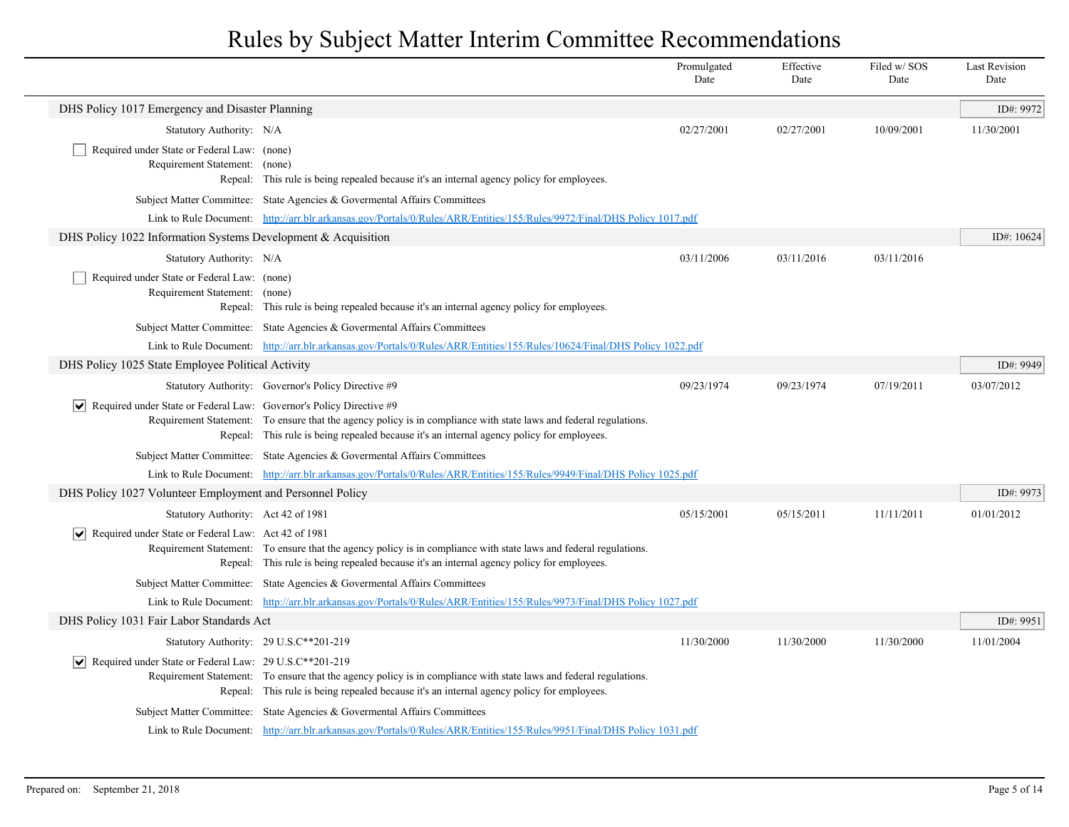|                                                                                    |                                                                                                                                                                                                                | Promulgated<br>Date | Effective<br>Date | Filed w/SOS<br>Date | <b>Last Revision</b><br>Date |
|------------------------------------------------------------------------------------|----------------------------------------------------------------------------------------------------------------------------------------------------------------------------------------------------------------|---------------------|-------------------|---------------------|------------------------------|
| DHS Policy 1017 Emergency and Disaster Planning                                    |                                                                                                                                                                                                                |                     |                   |                     | ID#: 9972                    |
| Statutory Authority: N/A                                                           |                                                                                                                                                                                                                | 02/27/2001          | 02/27/2001        | 10/09/2001          | 11/30/2001                   |
| Required under State or Federal Law: (none)<br>Requirement Statement: (none)       | Repeal: This rule is being repealed because it's an internal agency policy for employees.                                                                                                                      |                     |                   |                     |                              |
|                                                                                    | Subject Matter Committee: State Agencies & Governental Affairs Committees                                                                                                                                      |                     |                   |                     |                              |
|                                                                                    | Link to Rule Document: http://arr.blr.arkansas.gov/Portals/0/Rules/ARR/Entities/155/Rules/9972/Final/DHS Policy 1017.pdf                                                                                       |                     |                   |                     |                              |
| DHS Policy 1022 Information Systems Development $\&$ Acquisition                   |                                                                                                                                                                                                                |                     |                   |                     | ID#: 10624                   |
| Statutory Authority: N/A                                                           |                                                                                                                                                                                                                | 03/11/2006          | 03/11/2016        | 03/11/2016          |                              |
| Required under State or Federal Law: (none)<br>Requirement Statement: (none)       | Repeal: This rule is being repealed because it's an internal agency policy for employees.                                                                                                                      |                     |                   |                     |                              |
|                                                                                    | Subject Matter Committee: State Agencies & Governental Affairs Committees                                                                                                                                      |                     |                   |                     |                              |
|                                                                                    | Link to Rule Document: http://arr.blr.arkansas.gov/Portals/0/Rules/ARR/Entities/155/Rules/10624/Final/DHS Policy 1022.pdf                                                                                      |                     |                   |                     |                              |
| DHS Policy 1025 State Employee Political Activity                                  |                                                                                                                                                                                                                |                     |                   |                     | ID#: 9949                    |
|                                                                                    | Statutory Authority: Governor's Policy Directive #9                                                                                                                                                            | 09/23/1974          | 09/23/1974        | 07/19/2011          | 03/07/2012                   |
| $ \mathbf{v} $ Required under State or Federal Law: Governor's Policy Directive #9 | Requirement Statement: To ensure that the agency policy is in compliance with state laws and federal regulations.<br>Repeal: This rule is being repealed because it's an internal agency policy for employees. |                     |                   |                     |                              |
|                                                                                    | Subject Matter Committee: State Agencies & Governental Affairs Committees                                                                                                                                      |                     |                   |                     |                              |
|                                                                                    | Link to Rule Document: http://arr.blr.arkansas.gov/Portals/0/Rules/ARR/Entities/155/Rules/9949/Final/DHS Policy 1025.pdf                                                                                       |                     |                   |                     |                              |
| DHS Policy 1027 Volunteer Employment and Personnel Policy                          |                                                                                                                                                                                                                |                     |                   |                     | ID#: 9973                    |
| Statutory Authority: Act 42 of 1981                                                |                                                                                                                                                                                                                | 05/15/2001          | 05/15/2011        | 11/11/2011          | 01/01/2012                   |
| Required under State or Federal Law: Act 42 of 1981                                | Requirement Statement: To ensure that the agency policy is in compliance with state laws and federal regulations.<br>Repeal: This rule is being repealed because it's an internal agency policy for employees. |                     |                   |                     |                              |
|                                                                                    | Subject Matter Committee: State Agencies & Governental Affairs Committees                                                                                                                                      |                     |                   |                     |                              |
|                                                                                    | Link to Rule Document: http://arr.blr.arkansas.gov/Portals/0/Rules/ARR/Entities/155/Rules/9973/Final/DHS Policy 1027.pdf                                                                                       |                     |                   |                     |                              |
| DHS Policy 1031 Fair Labor Standards Act                                           |                                                                                                                                                                                                                |                     |                   |                     | ID#: 9951                    |
|                                                                                    | Statutory Authority: 29 U.S.C**201-219                                                                                                                                                                         | 11/30/2000          | 11/30/2000        | 11/30/2000          | 11/01/2004                   |
| $\triangledown$ Required under State or Federal Law: 29 U.S.C**201-219             | Requirement Statement: To ensure that the agency policy is in compliance with state laws and federal regulations.<br>Repeal: This rule is being repealed because it's an internal agency policy for employees. |                     |                   |                     |                              |
|                                                                                    | Subject Matter Committee: State Agencies & Governental Affairs Committees                                                                                                                                      |                     |                   |                     |                              |
|                                                                                    | Link to Rule Document: http://arr.blr.arkansas.gov/Portals/0/Rules/ARR/Entities/155/Rules/9951/Final/DHS Policy 1031.pdf                                                                                       |                     |                   |                     |                              |

 $\overline{\phantom{a}}$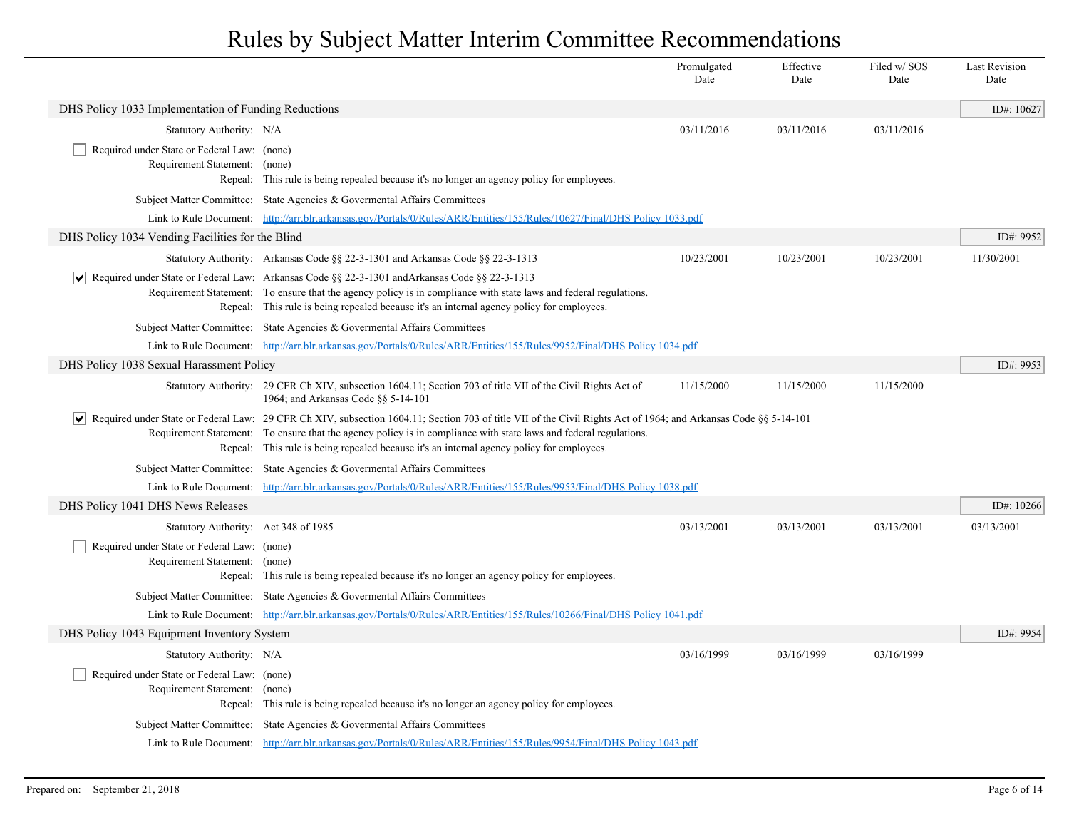|                                                                              |                                                                                                                                                                                                                                                                                                                                                                                     | Promulgated<br>Date | Effective<br>Date | Filed w/SOS<br>Date | <b>Last Revision</b><br>Date |
|------------------------------------------------------------------------------|-------------------------------------------------------------------------------------------------------------------------------------------------------------------------------------------------------------------------------------------------------------------------------------------------------------------------------------------------------------------------------------|---------------------|-------------------|---------------------|------------------------------|
| DHS Policy 1033 Implementation of Funding Reductions                         |                                                                                                                                                                                                                                                                                                                                                                                     |                     |                   |                     | ID#: 10627                   |
| Statutory Authority: N/A                                                     |                                                                                                                                                                                                                                                                                                                                                                                     | 03/11/2016          | 03/11/2016        | 03/11/2016          |                              |
| Required under State or Federal Law: (none)<br>Requirement Statement: (none) | Repeal: This rule is being repealed because it's no longer an agency policy for employees.                                                                                                                                                                                                                                                                                          |                     |                   |                     |                              |
|                                                                              | Subject Matter Committee: State Agencies & Governental Affairs Committees                                                                                                                                                                                                                                                                                                           |                     |                   |                     |                              |
|                                                                              | Link to Rule Document: http://arr.blr.arkansas.gov/Portals/0/Rules/ARR/Entities/155/Rules/10627/Final/DHS Policy 1033.pdf                                                                                                                                                                                                                                                           |                     |                   |                     |                              |
| DHS Policy 1034 Vending Facilities for the Blind                             |                                                                                                                                                                                                                                                                                                                                                                                     |                     |                   |                     | ID#: 9952                    |
|                                                                              | Statutory Authority: Arkansas Code $\S$ § 22-3-1301 and Arkansas Code $\S$ § 22-3-1313                                                                                                                                                                                                                                                                                              | 10/23/2001          | 10/23/2001        | 10/23/2001          | 11/30/2001                   |
|                                                                              | $\blacktriangleright$ Required under State or Federal Law: Arkansas Code §§ 22-3-1301 and Arkansas Code §§ 22-3-1313<br>Requirement Statement: To ensure that the agency policy is in compliance with state laws and federal regulations.<br>Repeal: This rule is being repealed because it's an internal agency policy for employees.                                              |                     |                   |                     |                              |
|                                                                              | Subject Matter Committee: State Agencies & Governental Affairs Committees                                                                                                                                                                                                                                                                                                           |                     |                   |                     |                              |
|                                                                              | Link to Rule Document: http://arr.blr.arkansas.gov/Portals/0/Rules/ARR/Entities/155/Rules/9952/Final/DHS Policy 1034.pdf                                                                                                                                                                                                                                                            |                     |                   |                     |                              |
| DHS Policy 1038 Sexual Harassment Policy                                     |                                                                                                                                                                                                                                                                                                                                                                                     |                     |                   |                     | ID#: 9953                    |
|                                                                              | Statutory Authority: 29 CFR Ch XIV, subsection 1604.11; Section 703 of title VII of the Civil Rights Act of<br>1964; and Arkansas Code §§ 5-14-101                                                                                                                                                                                                                                  | 11/15/2000          | 11/15/2000        | 11/15/2000          |                              |
|                                                                              | √ Required under State or Federal Law: 29 CFR Ch XIV, subsection 1604.11; Section 703 of title VII of the Civil Rights Act of 1964; and Arkansas Code §§ 5-14-101<br>Requirement Statement: To ensure that the agency policy is in compliance with state laws and federal regulations.<br>Repeal: This rule is being repealed because it's an internal agency policy for employees. |                     |                   |                     |                              |
|                                                                              | Subject Matter Committee: State Agencies & Governental Affairs Committees                                                                                                                                                                                                                                                                                                           |                     |                   |                     |                              |
| Link to Rule Document:                                                       | http://arr.blr.arkansas.gov/Portals/0/Rules/ARR/Entities/155/Rules/9953/Final/DHS Policy 1038.pdf                                                                                                                                                                                                                                                                                   |                     |                   |                     |                              |
| DHS Policy 1041 DHS News Releases                                            |                                                                                                                                                                                                                                                                                                                                                                                     |                     |                   |                     | ID#: 10266                   |
| Statutory Authority: Act 348 of 1985                                         |                                                                                                                                                                                                                                                                                                                                                                                     | 03/13/2001          | 03/13/2001        | 03/13/2001          | 03/13/2001                   |
| Required under State or Federal Law: (none)<br>Requirement Statement: (none) | Repeal: This rule is being repealed because it's no longer an agency policy for employees.                                                                                                                                                                                                                                                                                          |                     |                   |                     |                              |
|                                                                              | Subject Matter Committee: State Agencies & Governental Affairs Committees                                                                                                                                                                                                                                                                                                           |                     |                   |                     |                              |
|                                                                              | Link to Rule Document: http://arr.blr.arkansas.gov/Portals/0/Rules/ARR/Entities/155/Rules/10266/Final/DHS Policy 1041.pdf                                                                                                                                                                                                                                                           |                     |                   |                     |                              |
| DHS Policy 1043 Equipment Inventory System                                   |                                                                                                                                                                                                                                                                                                                                                                                     |                     |                   |                     | ID#: 9954                    |
| Statutory Authority: N/A                                                     |                                                                                                                                                                                                                                                                                                                                                                                     | 03/16/1999          | 03/16/1999        | 03/16/1999          |                              |
| Required under State or Federal Law: (none)<br>Requirement Statement:        | (none)<br>Repeal: This rule is being repealed because it's no longer an agency policy for employees.                                                                                                                                                                                                                                                                                |                     |                   |                     |                              |
|                                                                              | Subject Matter Committee: State Agencies & Governental Affairs Committees                                                                                                                                                                                                                                                                                                           |                     |                   |                     |                              |
|                                                                              | Link to Rule Document: http://arr.blr.arkansas.gov/Portals/0/Rules/ARR/Entities/155/Rules/9954/Final/DHS Policy 1043.pdf                                                                                                                                                                                                                                                            |                     |                   |                     |                              |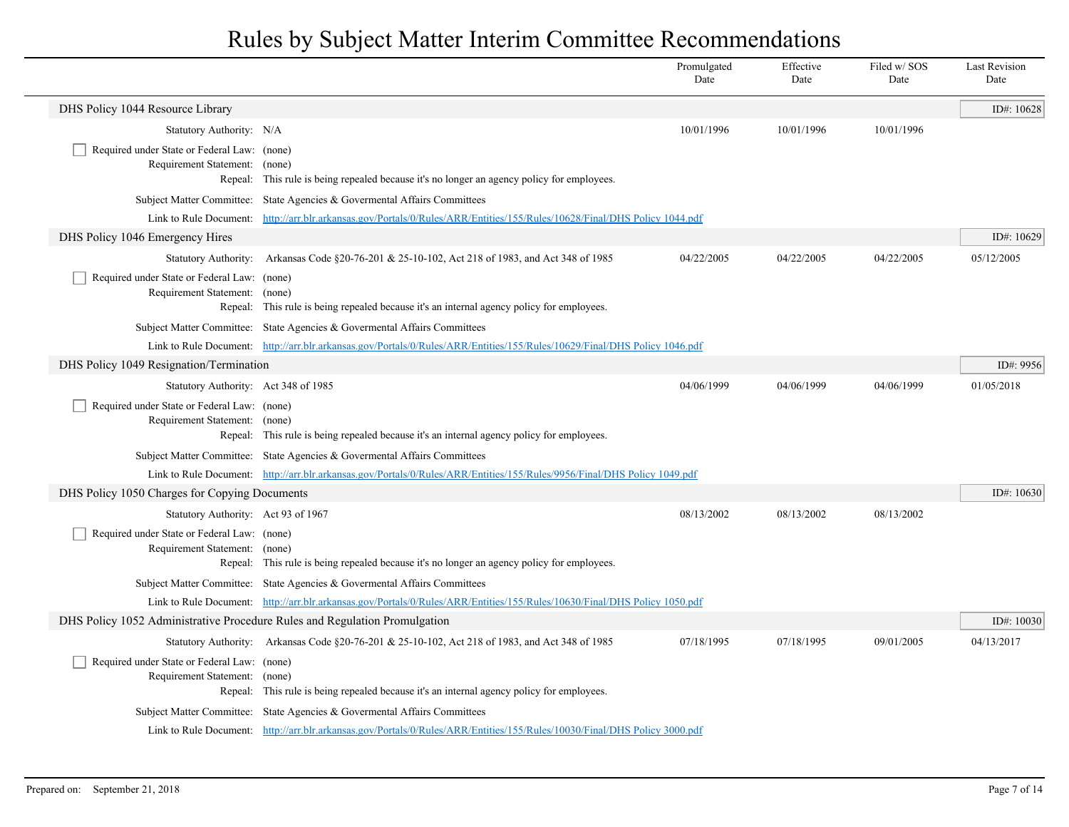|                                                                            |                                                                                                                                                                                                        | Promulgated<br>Date | Effective<br>Date | Filed w/ SOS<br>Date | <b>Last Revision</b><br>Date |
|----------------------------------------------------------------------------|--------------------------------------------------------------------------------------------------------------------------------------------------------------------------------------------------------|---------------------|-------------------|----------------------|------------------------------|
| DHS Policy 1044 Resource Library                                           |                                                                                                                                                                                                        |                     |                   |                      | ID#: $10628$                 |
| Statutory Authority: N/A                                                   |                                                                                                                                                                                                        | 10/01/1996          | 10/01/1996        | 10/01/1996           |                              |
| Required under State or Federal Law: (none)                                |                                                                                                                                                                                                        |                     |                   |                      |                              |
| Requirement Statement: (none)                                              | Repeal: This rule is being repealed because it's no longer an agency policy for employees.                                                                                                             |                     |                   |                      |                              |
|                                                                            |                                                                                                                                                                                                        |                     |                   |                      |                              |
|                                                                            | Subject Matter Committee: State Agencies & Governental Affairs Committees<br>Link to Rule Document: http://arr.blr.arkansas.gov/Portals/0/Rules/ARR/Entities/155/Rules/10628/Final/DHS Policy 1044.pdf |                     |                   |                      |                              |
| DHS Policy 1046 Emergency Hires                                            |                                                                                                                                                                                                        |                     |                   |                      | ID#: $10629$                 |
|                                                                            | Statutory Authority: Arkansas Code §20-76-201 & 25-10-102, Act 218 of 1983, and Act 348 of 1985                                                                                                        | 04/22/2005          | 04/22/2005        | 04/22/2005           | 05/12/2005                   |
| Required under State or Federal Law: (none)                                |                                                                                                                                                                                                        |                     |                   |                      |                              |
| Requirement Statement: (none)                                              |                                                                                                                                                                                                        |                     |                   |                      |                              |
|                                                                            | Repeal: This rule is being repealed because it's an internal agency policy for employees.                                                                                                              |                     |                   |                      |                              |
|                                                                            | Subject Matter Committee: State Agencies & Governental Affairs Committees                                                                                                                              |                     |                   |                      |                              |
|                                                                            | Link to Rule Document: http://arr.blr.arkansas.gov/Portals/0/Rules/ARR/Entities/155/Rules/10629/Final/DHS Policy 1046.pdf                                                                              |                     |                   |                      |                              |
| DHS Policy 1049 Resignation/Termination                                    |                                                                                                                                                                                                        |                     |                   |                      | ID#: 9956                    |
| Statutory Authority: Act 348 of 1985                                       |                                                                                                                                                                                                        | 04/06/1999          | 04/06/1999        | 04/06/1999           | 01/05/2018                   |
| Required under State or Federal Law: (none)                                |                                                                                                                                                                                                        |                     |                   |                      |                              |
| Requirement Statement: (none)                                              | Repeal: This rule is being repealed because it's an internal agency policy for employees.                                                                                                              |                     |                   |                      |                              |
|                                                                            | Subject Matter Committee: State Agencies & Governental Affairs Committees                                                                                                                              |                     |                   |                      |                              |
|                                                                            | Link to Rule Document: http://arr.blr.arkansas.gov/Portals/0/Rules/ARR/Entities/155/Rules/9956/Final/DHS Policy 1049.pdf                                                                               |                     |                   |                      |                              |
| DHS Policy 1050 Charges for Copying Documents                              |                                                                                                                                                                                                        |                     |                   |                      | ID#: $10630$                 |
| Statutory Authority: Act 93 of 1967                                        |                                                                                                                                                                                                        | 08/13/2002          | 08/13/2002        | 08/13/2002           |                              |
| Required under State or Federal Law: (none)                                |                                                                                                                                                                                                        |                     |                   |                      |                              |
| Requirement Statement: (none)                                              |                                                                                                                                                                                                        |                     |                   |                      |                              |
|                                                                            | Repeal: This rule is being repealed because it's no longer an agency policy for employees.                                                                                                             |                     |                   |                      |                              |
|                                                                            | Subject Matter Committee: State Agencies & Governental Affairs Committees                                                                                                                              |                     |                   |                      |                              |
|                                                                            | Link to Rule Document: http://arr.blr.arkansas.gov/Portals/0/Rules/ARR/Entities/155/Rules/10630/Final/DHS Policy 1050.pdf                                                                              |                     |                   |                      |                              |
| DHS Policy 1052 Administrative Procedure Rules and Regulation Promulgation |                                                                                                                                                                                                        |                     |                   |                      | ID#: $10030$                 |
|                                                                            | Statutory Authority: Arkansas Code §20-76-201 & 25-10-102, Act 218 of 1983, and Act 348 of 1985                                                                                                        | 07/18/1995          | 07/18/1995        | 09/01/2005           | 04/13/2017                   |
| Required under State or Federal Law: (none)                                |                                                                                                                                                                                                        |                     |                   |                      |                              |
| Requirement Statement: (none)                                              | Repeal: This rule is being repealed because it's an internal agency policy for employees.                                                                                                              |                     |                   |                      |                              |
|                                                                            | Subject Matter Committee: State Agencies & Governental Affairs Committees                                                                                                                              |                     |                   |                      |                              |
|                                                                            | Link to Rule Document: http://arr.blr.arkansas.gov/Portals/0/Rules/ARR/Entities/155/Rules/10030/Final/DHS Policy 3000.pdf                                                                              |                     |                   |                      |                              |
|                                                                            |                                                                                                                                                                                                        |                     |                   |                      |                              |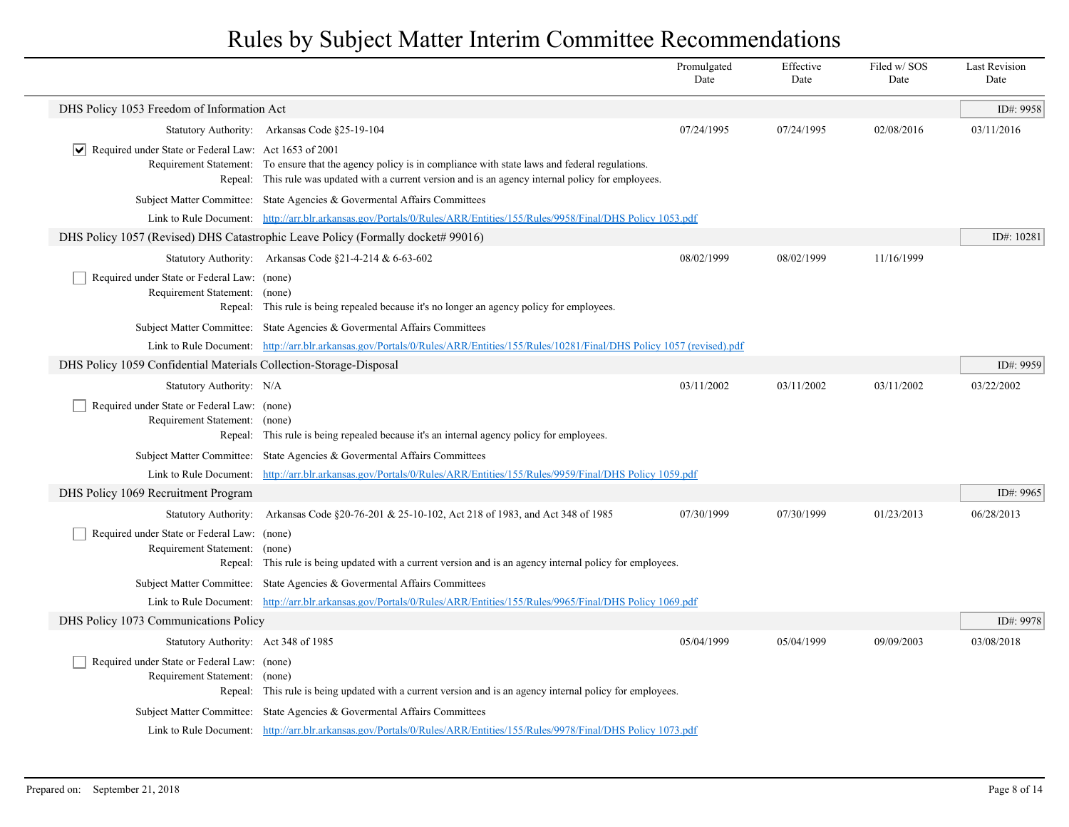|                                                                              |                                                                                                                                                                                                                           | Promulgated<br>Date | Effective<br>Date | Filed w/SOS<br>Date | <b>Last Revision</b><br>Date |
|------------------------------------------------------------------------------|---------------------------------------------------------------------------------------------------------------------------------------------------------------------------------------------------------------------------|---------------------|-------------------|---------------------|------------------------------|
| DHS Policy 1053 Freedom of Information Act                                   |                                                                                                                                                                                                                           |                     |                   |                     | ID#: 9958                    |
|                                                                              | Statutory Authority: Arkansas Code §25-19-104                                                                                                                                                                             | 07/24/1995          | 07/24/1995        | 02/08/2016          | 03/11/2016                   |
| $ \mathbf{v} $ Required under State or Federal Law: Act 1653 of 2001         | Requirement Statement: To ensure that the agency policy is in compliance with state laws and federal regulations.<br>Repeal: This rule was updated with a current version and is an agency internal policy for employees. |                     |                   |                     |                              |
|                                                                              | Subject Matter Committee: State Agencies & Governental Affairs Committees                                                                                                                                                 |                     |                   |                     |                              |
|                                                                              | Link to Rule Document: http://arr.blr.arkansas.gov/Portals/0/Rules/ARR/Entities/155/Rules/9958/Final/DHS Policy 1053.pdf                                                                                                  |                     |                   |                     |                              |
|                                                                              | DHS Policy 1057 (Revised) DHS Catastrophic Leave Policy (Formally docket# 99016)                                                                                                                                          |                     |                   |                     | ID#: 10281                   |
|                                                                              | Statutory Authority: Arkansas Code §21-4-214 & 6-63-602                                                                                                                                                                   | 08/02/1999          | 08/02/1999        | 11/16/1999          |                              |
| Required under State or Federal Law: (none)<br>Requirement Statement: (none) | Repeal: This rule is being repealed because it's no longer an agency policy for employees.                                                                                                                                |                     |                   |                     |                              |
|                                                                              | Subject Matter Committee: State Agencies & Governental Affairs Committees                                                                                                                                                 |                     |                   |                     |                              |
|                                                                              | Link to Rule Document: http://arr.blr.arkansas.gov/Portals/0/Rules/ARR/Entities/155/Rules/10281/Final/DHS Policy 1057 (revised).pdf                                                                                       |                     |                   |                     |                              |
| DHS Policy 1059 Confidential Materials Collection-Storage-Disposal           |                                                                                                                                                                                                                           |                     |                   |                     | ID#: 9959                    |
| Statutory Authority: N/A                                                     |                                                                                                                                                                                                                           | 03/11/2002          | 03/11/2002        | 03/11/2002          | 03/22/2002                   |
| Required under State or Federal Law: (none)<br>Requirement Statement: (none) | Repeal: This rule is being repealed because it's an internal agency policy for employees.                                                                                                                                 |                     |                   |                     |                              |
|                                                                              | Subject Matter Committee: State Agencies & Governental Affairs Committees                                                                                                                                                 |                     |                   |                     |                              |
|                                                                              | Link to Rule Document: http://arr.blr.arkansas.gov/Portals/0/Rules/ARR/Entities/155/Rules/9959/Final/DHS Policy 1059.pdf                                                                                                  |                     |                   |                     |                              |
| DHS Policy 1069 Recruitment Program                                          |                                                                                                                                                                                                                           |                     |                   |                     | ID#: 9965                    |
|                                                                              | Statutory Authority: Arkansas Code §20-76-201 & 25-10-102, Act 218 of 1983, and Act 348 of 1985                                                                                                                           | 07/30/1999          | 07/30/1999        | 01/23/2013          | 06/28/2013                   |
| Required under State or Federal Law: (none)<br>Requirement Statement:        | (none)<br>Repeal: This rule is being updated with a current version and is an agency internal policy for employees.                                                                                                       |                     |                   |                     |                              |
|                                                                              | Subject Matter Committee: State Agencies & Governental Affairs Committees                                                                                                                                                 |                     |                   |                     |                              |
|                                                                              | Link to Rule Document: http://arr.blr.arkansas.gov/Portals/0/Rules/ARR/Entities/155/Rules/9965/Final/DHS Policy 1069.pdf                                                                                                  |                     |                   |                     |                              |
| DHS Policy 1073 Communications Policy                                        |                                                                                                                                                                                                                           |                     |                   |                     | ID#: 9978                    |
| Statutory Authority: Act 348 of 1985                                         |                                                                                                                                                                                                                           | 05/04/1999          | 05/04/1999        | 09/09/2003          | 03/08/2018                   |
| Required under State or Federal Law: (none)<br>Requirement Statement: (none) | Repeal: This rule is being updated with a current version and is an agency internal policy for employees.                                                                                                                 |                     |                   |                     |                              |
|                                                                              | Subject Matter Committee: State Agencies & Governental Affairs Committees                                                                                                                                                 |                     |                   |                     |                              |
|                                                                              | Link to Rule Document: http://arr.blr.arkansas.gov/Portals/0/Rules/ARR/Entities/155/Rules/9978/Final/DHS Policy 1073.pdf                                                                                                  |                     |                   |                     |                              |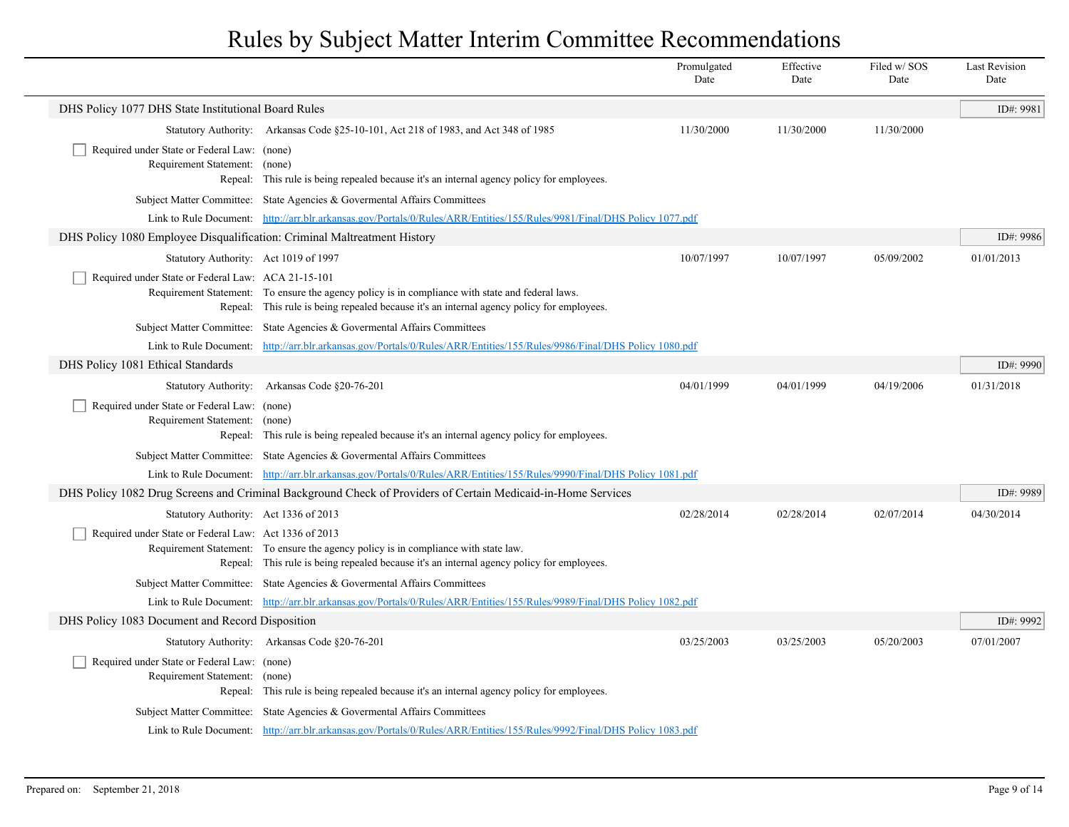|                                                                              |                                                                                                                                                                                               | Promulgated<br>Date | Effective<br>Date | Filed w/SOS<br>Date | <b>Last Revision</b><br>Date |
|------------------------------------------------------------------------------|-----------------------------------------------------------------------------------------------------------------------------------------------------------------------------------------------|---------------------|-------------------|---------------------|------------------------------|
| DHS Policy 1077 DHS State Institutional Board Rules                          |                                                                                                                                                                                               |                     |                   |                     | ID#: 9981                    |
|                                                                              | Statutory Authority: Arkansas Code §25-10-101, Act 218 of 1983, and Act 348 of 1985                                                                                                           | 11/30/2000          | 11/30/2000        | 11/30/2000          |                              |
| Required under State or Federal Law: (none)<br>Requirement Statement: (none) | Repeal: This rule is being repealed because it's an internal agency policy for employees.                                                                                                     |                     |                   |                     |                              |
|                                                                              | Subject Matter Committee: State Agencies & Governental Affairs Committees                                                                                                                     |                     |                   |                     |                              |
|                                                                              | Link to Rule Document: http://arr.blr.arkansas.gov/Portals/0/Rules/ARR/Entities/155/Rules/9981/Final/DHS Policy 1077.pdf                                                                      |                     |                   |                     |                              |
| DHS Policy 1080 Employee Disqualification: Criminal Maltreatment History     |                                                                                                                                                                                               |                     |                   |                     | ID#: 9986                    |
| Statutory Authority: Act 1019 of 1997                                        |                                                                                                                                                                                               | 10/07/1997          | 10/07/1997        | 05/09/2002          | 01/01/2013                   |
| Required under State or Federal Law: ACA 21-15-101                           | Requirement Statement: To ensure the agency policy is in compliance with state and federal laws.<br>Repeal: This rule is being repealed because it's an internal agency policy for employees. |                     |                   |                     |                              |
|                                                                              | Subject Matter Committee: State Agencies & Governental Affairs Committees                                                                                                                     |                     |                   |                     |                              |
|                                                                              | Link to Rule Document: http://arr.blr.arkansas.gov/Portals/0/Rules/ARR/Entities/155/Rules/9986/Final/DHS Policy 1080.pdf                                                                      |                     |                   |                     |                              |
| DHS Policy 1081 Ethical Standards                                            |                                                                                                                                                                                               |                     |                   |                     | ID#: 9990                    |
|                                                                              | Statutory Authority: Arkansas Code §20-76-201                                                                                                                                                 | 04/01/1999          | 04/01/1999        | 04/19/2006          | 01/31/2018                   |
| Required under State or Federal Law: (none)<br>Requirement Statement: (none) | Repeal: This rule is being repealed because it's an internal agency policy for employees.                                                                                                     |                     |                   |                     |                              |
|                                                                              | Subject Matter Committee: State Agencies & Governental Affairs Committees                                                                                                                     |                     |                   |                     |                              |
|                                                                              | Link to Rule Document: http://arr.blr.arkansas.gov/Portals/0/Rules/ARR/Entities/155/Rules/9990/Final/DHS Policy 1081.pdf                                                                      |                     |                   |                     |                              |
|                                                                              | DHS Policy 1082 Drug Screens and Criminal Background Check of Providers of Certain Medicaid-in-Home Services                                                                                  |                     |                   |                     | ID#: 9989                    |
| Statutory Authority: Act 1336 of 2013                                        |                                                                                                                                                                                               | 02/28/2014          | 02/28/2014        | 02/07/2014          | 04/30/2014                   |
| Required under State or Federal Law: Act 1336 of 2013                        | Requirement Statement: To ensure the agency policy is in compliance with state law.<br>Repeal: This rule is being repealed because it's an internal agency policy for employees.              |                     |                   |                     |                              |
|                                                                              | Subject Matter Committee: State Agencies & Governental Affairs Committees                                                                                                                     |                     |                   |                     |                              |
|                                                                              | Link to Rule Document: http://arr.blr.arkansas.gov/Portals/0/Rules/ARR/Entities/155/Rules/9989/Final/DHS Policy 1082.pdf                                                                      |                     |                   |                     |                              |
| DHS Policy 1083 Document and Record Disposition                              |                                                                                                                                                                                               |                     |                   |                     | ID#: 9992                    |
|                                                                              | Statutory Authority: Arkansas Code §20-76-201                                                                                                                                                 | 03/25/2003          | 03/25/2003        | 05/20/2003          | 07/01/2007                   |
| Required under State or Federal Law: (none)<br>Requirement Statement: (none) | Repeal: This rule is being repealed because it's an internal agency policy for employees.                                                                                                     |                     |                   |                     |                              |
|                                                                              | Subject Matter Committee: State Agencies & Governental Affairs Committees                                                                                                                     |                     |                   |                     |                              |
|                                                                              | Link to Rule Document: http://arr.blr.arkansas.gov/Portals/0/Rules/ARR/Entities/155/Rules/9992/Final/DHS Policy 1083.pdf                                                                      |                     |                   |                     |                              |
|                                                                              |                                                                                                                                                                                               |                     |                   |                     |                              |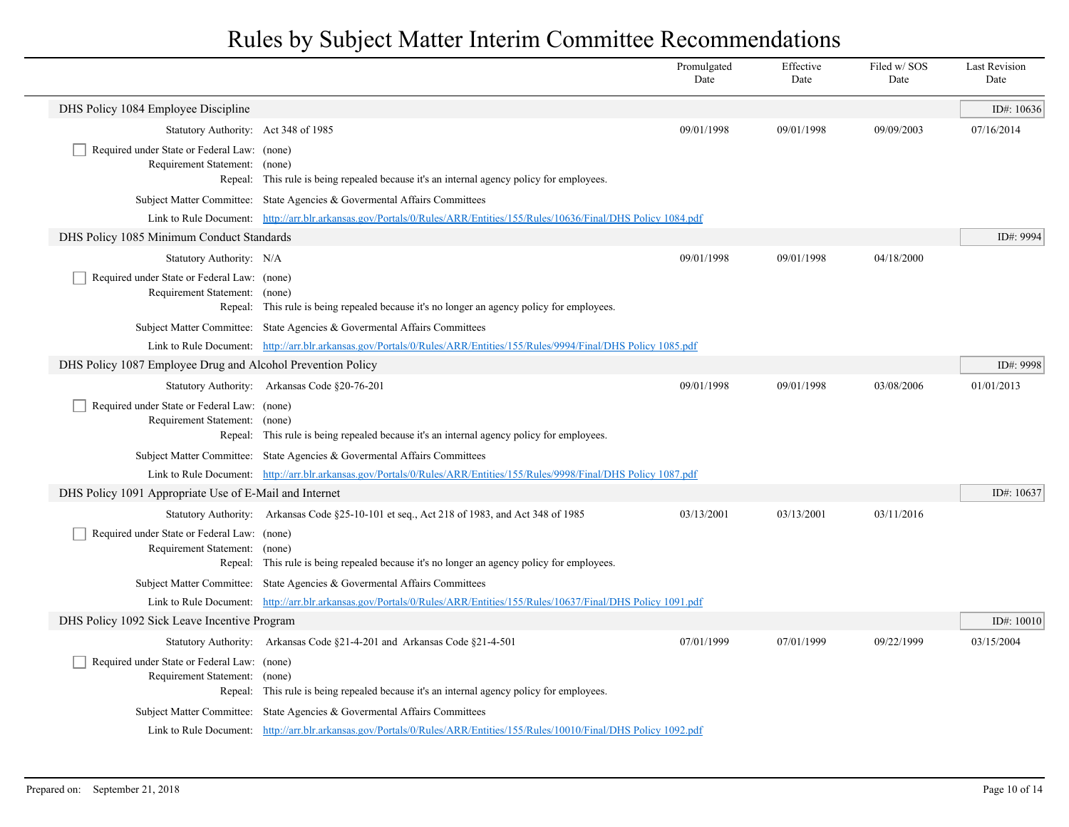|                                                             |                                                                                                                                                                                                        | Promulgated<br>Date | Effective<br>Date | Filed w/SOS<br>Date | <b>Last Revision</b><br>Date |
|-------------------------------------------------------------|--------------------------------------------------------------------------------------------------------------------------------------------------------------------------------------------------------|---------------------|-------------------|---------------------|------------------------------|
| DHS Policy 1084 Employee Discipline                         |                                                                                                                                                                                                        |                     |                   |                     | ID#: $10636$                 |
| Statutory Authority: Act 348 of 1985                        |                                                                                                                                                                                                        | 09/01/1998          | 09/01/1998        | 09/09/2003          | 07/16/2014                   |
| Required under State or Federal Law: (none)                 |                                                                                                                                                                                                        |                     |                   |                     |                              |
| Requirement Statement: (none)                               | Repeal: This rule is being repealed because it's an internal agency policy for employees.                                                                                                              |                     |                   |                     |                              |
|                                                             | Subject Matter Committee: State Agencies & Governental Affairs Committees                                                                                                                              |                     |                   |                     |                              |
|                                                             | Link to Rule Document: http://arr.blr.arkansas.gov/Portals/0/Rules/ARR/Entities/155/Rules/10636/Final/DHS Policy 1084.pdf                                                                              |                     |                   |                     |                              |
| DHS Policy 1085 Minimum Conduct Standards                   |                                                                                                                                                                                                        |                     |                   |                     | ID#: 9994                    |
| Statutory Authority: N/A                                    |                                                                                                                                                                                                        | 09/01/1998          | 09/01/1998        | 04/18/2000          |                              |
| Required under State or Federal Law: (none)                 |                                                                                                                                                                                                        |                     |                   |                     |                              |
| Requirement Statement: (none)                               |                                                                                                                                                                                                        |                     |                   |                     |                              |
|                                                             | Repeal: This rule is being repealed because it's no longer an agency policy for employees.                                                                                                             |                     |                   |                     |                              |
|                                                             | Subject Matter Committee: State Agencies & Governental Affairs Committees                                                                                                                              |                     |                   |                     |                              |
|                                                             | Link to Rule Document: http://arr.blr.arkansas.gov/Portals/0/Rules/ARR/Entities/155/Rules/9994/Final/DHS Policy 1085.pdf                                                                               |                     |                   |                     |                              |
| DHS Policy 1087 Employee Drug and Alcohol Prevention Policy |                                                                                                                                                                                                        |                     |                   |                     | ID#: 9998                    |
|                                                             | Statutory Authority: Arkansas Code §20-76-201                                                                                                                                                          | 09/01/1998          | 09/01/1998        | 03/08/2006          | 01/01/2013                   |
| Required under State or Federal Law: (none)                 |                                                                                                                                                                                                        |                     |                   |                     |                              |
| Requirement Statement: (none)                               | Repeal: This rule is being repealed because it's an internal agency policy for employees.                                                                                                              |                     |                   |                     |                              |
|                                                             | Subject Matter Committee: State Agencies & Governental Affairs Committees                                                                                                                              |                     |                   |                     |                              |
|                                                             | Link to Rule Document: http://arr.blr.arkansas.gov/Portals/0/Rules/ARR/Entities/155/Rules/9998/Final/DHS Policy 1087.pdf                                                                               |                     |                   |                     |                              |
| DHS Policy 1091 Appropriate Use of E-Mail and Internet      |                                                                                                                                                                                                        |                     |                   |                     | ID#: $10637$                 |
|                                                             | Statutory Authority: Arkansas Code §25-10-101 et seq., Act 218 of 1983, and Act 348 of 1985                                                                                                            | 03/13/2001          | 03/13/2001        | 03/11/2016          |                              |
| Required under State or Federal Law: (none)                 |                                                                                                                                                                                                        |                     |                   |                     |                              |
| Requirement Statement: (none)                               |                                                                                                                                                                                                        |                     |                   |                     |                              |
|                                                             | Repeal: This rule is being repealed because it's no longer an agency policy for employees.                                                                                                             |                     |                   |                     |                              |
|                                                             | Subject Matter Committee: State Agencies & Governental Affairs Committees                                                                                                                              |                     |                   |                     |                              |
|                                                             | Link to Rule Document: http://arr.blr.arkansas.gov/Portals/0/Rules/ARR/Entities/155/Rules/10637/Final/DHS Policy 1091.pdf                                                                              |                     |                   |                     |                              |
| DHS Policy 1092 Sick Leave Incentive Program                |                                                                                                                                                                                                        |                     |                   |                     | ID#: $10010$                 |
|                                                             | Statutory Authority: Arkansas Code §21-4-201 and Arkansas Code §21-4-501                                                                                                                               | 07/01/1999          | 07/01/1999        | 09/22/1999          | 03/15/2004                   |
| Required under State or Federal Law: (none)                 |                                                                                                                                                                                                        |                     |                   |                     |                              |
| Requirement Statement: (none)                               | Repeal: This rule is being repealed because it's an internal agency policy for employees.                                                                                                              |                     |                   |                     |                              |
|                                                             |                                                                                                                                                                                                        |                     |                   |                     |                              |
|                                                             | Subject Matter Committee: State Agencies & Governental Affairs Committees<br>Link to Rule Document: http://arr.blr.arkansas.gov/Portals/0/Rules/ARR/Entities/155/Rules/10010/Final/DHS Policy 1092.pdf |                     |                   |                     |                              |
|                                                             |                                                                                                                                                                                                        |                     |                   |                     |                              |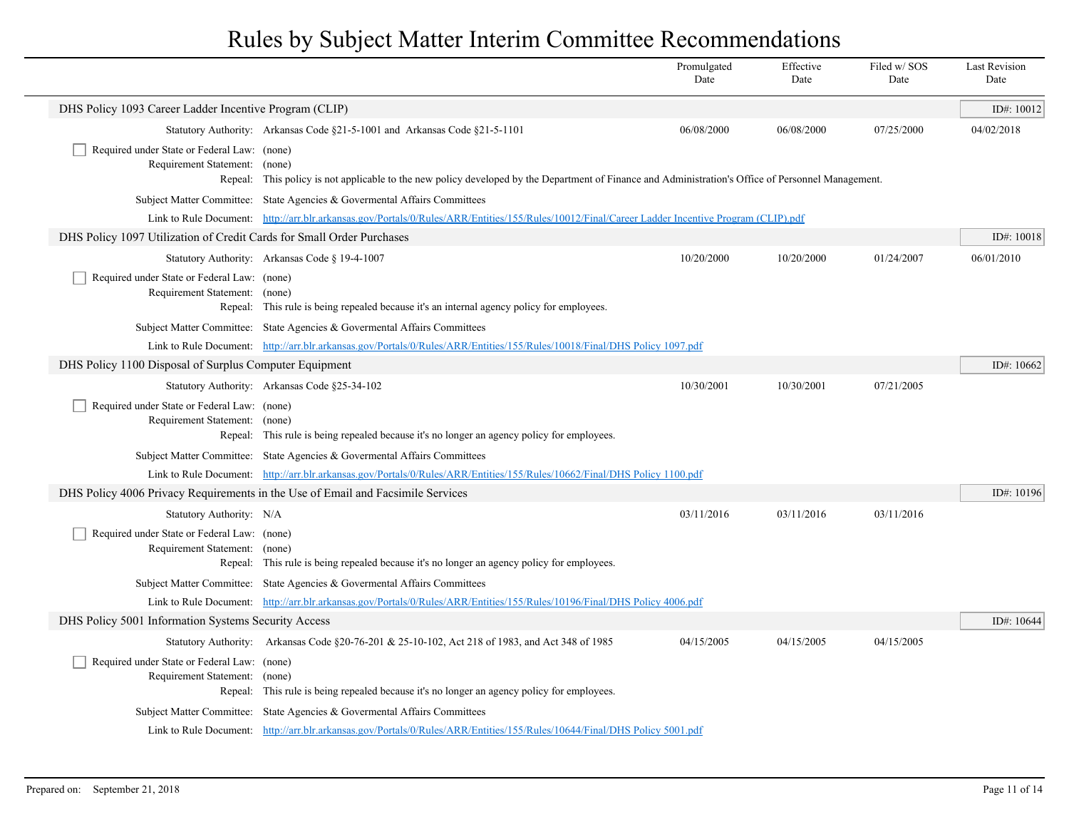|                                                                              |                                                                                                                                                                                                        | Promulgated<br>Date | Effective<br>Date | Filed w/SOS<br>Date | <b>Last Revision</b><br>Date |
|------------------------------------------------------------------------------|--------------------------------------------------------------------------------------------------------------------------------------------------------------------------------------------------------|---------------------|-------------------|---------------------|------------------------------|
| DHS Policy 1093 Career Ladder Incentive Program (CLIP)                       |                                                                                                                                                                                                        |                     |                   |                     | ID#: 10012                   |
|                                                                              | Statutory Authority: Arkansas Code §21-5-1001 and Arkansas Code §21-5-1101                                                                                                                             | 06/08/2000          | 06/08/2000        | 07/25/2000          | 04/02/2018                   |
| Required under State or Federal Law: (none)                                  |                                                                                                                                                                                                        |                     |                   |                     |                              |
| Requirement Statement: (none)                                                | Repeal: This policy is not applicable to the new policy developed by the Department of Finance and Administration's Office of Personnel Management.                                                    |                     |                   |                     |                              |
|                                                                              | Subject Matter Committee: State Agencies & Governmental Affairs Committees                                                                                                                             |                     |                   |                     |                              |
|                                                                              | Link to Rule Document: http://arr.blr.arkansas.gov/Portals/0/Rules/ARR/Entities/155/Rules/10012/Final/Career Ladder Incentive Program (CLIP).pdf                                                       |                     |                   |                     |                              |
| DHS Policy 1097 Utilization of Credit Cards for Small Order Purchases        |                                                                                                                                                                                                        |                     |                   |                     | ID#: 10018                   |
|                                                                              | Statutory Authority: Arkansas Code § 19-4-1007                                                                                                                                                         | 10/20/2000          | 10/20/2000        | 01/24/2007          | 06/01/2010                   |
| Required under State or Federal Law: (none)                                  |                                                                                                                                                                                                        |                     |                   |                     |                              |
| Requirement Statement: (none)                                                |                                                                                                                                                                                                        |                     |                   |                     |                              |
|                                                                              | Repeal: This rule is being repealed because it's an internal agency policy for employees.<br>Subject Matter Committee: State Agencies & Governental Affairs Committees                                 |                     |                   |                     |                              |
|                                                                              | Link to Rule Document: http://arr.blr.arkansas.gov/Portals/0/Rules/ARR/Entities/155/Rules/10018/Final/DHS Policy 1097.pdf                                                                              |                     |                   |                     |                              |
| DHS Policy 1100 Disposal of Surplus Computer Equipment                       |                                                                                                                                                                                                        |                     |                   |                     | ID#: $10662$                 |
|                                                                              | Statutory Authority: Arkansas Code §25-34-102                                                                                                                                                          | 10/30/2001          | 10/30/2001        | 07/21/2005          |                              |
| Required under State or Federal Law: (none)                                  |                                                                                                                                                                                                        |                     |                   |                     |                              |
| Requirement Statement: (none)                                                |                                                                                                                                                                                                        |                     |                   |                     |                              |
|                                                                              | Repeal: This rule is being repealed because it's no longer an agency policy for employees.                                                                                                             |                     |                   |                     |                              |
|                                                                              | Subject Matter Committee: State Agencies & Governental Affairs Committees<br>Link to Rule Document: http://arr.blr.arkansas.gov/Portals/0/Rules/ARR/Entities/155/Rules/10662/Final/DHS Policy 1100.pdf |                     |                   |                     |                              |
|                                                                              | DHS Policy 4006 Privacy Requirements in the Use of Email and Facsimile Services                                                                                                                        |                     |                   |                     | ID#: $10196$                 |
| Statutory Authority: N/A                                                     |                                                                                                                                                                                                        | 03/11/2016          | 03/11/2016        | 03/11/2016          |                              |
| Required under State or Federal Law: (none)                                  |                                                                                                                                                                                                        |                     |                   |                     |                              |
| Requirement Statement: (none)                                                |                                                                                                                                                                                                        |                     |                   |                     |                              |
|                                                                              | Repeal: This rule is being repealed because it's no longer an agency policy for employees.                                                                                                             |                     |                   |                     |                              |
|                                                                              | Subject Matter Committee: State Agencies & Governental Affairs Committees                                                                                                                              |                     |                   |                     |                              |
|                                                                              | Link to Rule Document: http://arr.blr.arkansas.gov/Portals/0/Rules/ARR/Entities/155/Rules/10196/Final/DHS Policy 4006.pdf                                                                              |                     |                   |                     |                              |
| DHS Policy 5001 Information Systems Security Access                          |                                                                                                                                                                                                        |                     |                   |                     | ID#: 10644                   |
|                                                                              | Statutory Authority: Arkansas Code §20-76-201 & 25-10-102, Act 218 of 1983, and Act 348 of 1985                                                                                                        | 04/15/2005          | 04/15/2005        | 04/15/2005          |                              |
| Required under State or Federal Law: (none)<br>Requirement Statement: (none) |                                                                                                                                                                                                        |                     |                   |                     |                              |
|                                                                              | Repeal: This rule is being repealed because it's no longer an agency policy for employees.                                                                                                             |                     |                   |                     |                              |
|                                                                              | Subject Matter Committee: State Agencies & Governental Affairs Committees                                                                                                                              |                     |                   |                     |                              |
|                                                                              | Link to Rule Document: http://arr.blr.arkansas.gov/Portals/0/Rules/ARR/Entities/155/Rules/10644/Final/DHS Policy 5001.pdf                                                                              |                     |                   |                     |                              |
|                                                                              |                                                                                                                                                                                                        |                     |                   |                     |                              |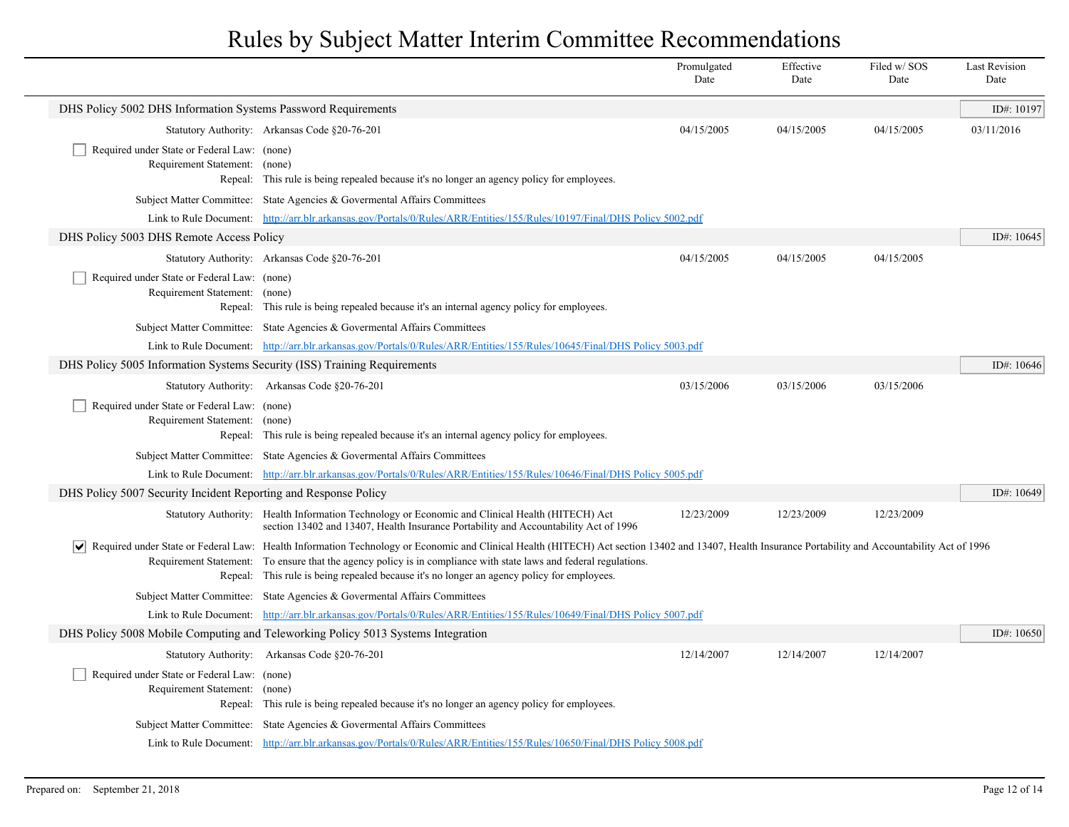|                                                                              |                                                                                                                                                                                                                                                                                                                                                                                                                         | Promulgated<br>Date | Effective<br>Date | Filed w/ SOS<br>Date | <b>Last Revision</b><br>Date |
|------------------------------------------------------------------------------|-------------------------------------------------------------------------------------------------------------------------------------------------------------------------------------------------------------------------------------------------------------------------------------------------------------------------------------------------------------------------------------------------------------------------|---------------------|-------------------|----------------------|------------------------------|
| DHS Policy 5002 DHS Information Systems Password Requirements                |                                                                                                                                                                                                                                                                                                                                                                                                                         |                     |                   |                      | ID#: 10197                   |
|                                                                              | Statutory Authority: Arkansas Code §20-76-201                                                                                                                                                                                                                                                                                                                                                                           | 04/15/2005          | 04/15/2005        | 04/15/2005           | 03/11/2016                   |
| Required under State or Federal Law: (none)<br>Requirement Statement:        | (none)<br>Repeal: This rule is being repealed because it's no longer an agency policy for employees.                                                                                                                                                                                                                                                                                                                    |                     |                   |                      |                              |
|                                                                              | Subject Matter Committee: State Agencies & Governental Affairs Committees                                                                                                                                                                                                                                                                                                                                               |                     |                   |                      |                              |
|                                                                              | Link to Rule Document: http://arr.blr.arkansas.gov/Portals/0/Rules/ARR/Entities/155/Rules/10197/Final/DHS Policy 5002.pdf                                                                                                                                                                                                                                                                                               |                     |                   |                      |                              |
| DHS Policy 5003 DHS Remote Access Policy                                     |                                                                                                                                                                                                                                                                                                                                                                                                                         |                     |                   |                      | ID#: 10645                   |
|                                                                              | Statutory Authority: Arkansas Code §20-76-201                                                                                                                                                                                                                                                                                                                                                                           | 04/15/2005          | 04/15/2005        | 04/15/2005           |                              |
| Required under State or Federal Law: (none)<br>Requirement Statement:        | (none)<br>Repeal: This rule is being repealed because it's an internal agency policy for employees.                                                                                                                                                                                                                                                                                                                     |                     |                   |                      |                              |
|                                                                              | Subject Matter Committee: State Agencies & Governental Affairs Committees                                                                                                                                                                                                                                                                                                                                               |                     |                   |                      |                              |
|                                                                              | Link to Rule Document: http://arr.blr.arkansas.gov/Portals/0/Rules/ARR/Entities/155/Rules/10645/Final/DHS Policy 5003.pdf                                                                                                                                                                                                                                                                                               |                     |                   |                      |                              |
| DHS Policy 5005 Information Systems Security (ISS) Training Requirements     |                                                                                                                                                                                                                                                                                                                                                                                                                         |                     |                   |                      | ID#: 10646                   |
|                                                                              | Statutory Authority: Arkansas Code §20-76-201                                                                                                                                                                                                                                                                                                                                                                           | 03/15/2006          | 03/15/2006        | 03/15/2006           |                              |
| Required under State or Federal Law: (none)<br>Requirement Statement: (none) | Repeal: This rule is being repealed because it's an internal agency policy for employees.                                                                                                                                                                                                                                                                                                                               |                     |                   |                      |                              |
|                                                                              | Subject Matter Committee: State Agencies & Governental Affairs Committees                                                                                                                                                                                                                                                                                                                                               |                     |                   |                      |                              |
|                                                                              | Link to Rule Document: http://arr.blr.arkansas.gov/Portals/0/Rules/ARR/Entities/155/Rules/10646/Final/DHS Policy 5005.pdf                                                                                                                                                                                                                                                                                               |                     |                   |                      |                              |
| DHS Policy 5007 Security Incident Reporting and Response Policy              |                                                                                                                                                                                                                                                                                                                                                                                                                         |                     |                   |                      | ID#: 10649                   |
|                                                                              | Statutory Authority: Health Information Technology or Economic and Clinical Health (HITECH) Act<br>section 13402 and 13407, Health Insurance Portability and Accountability Act of 1996                                                                                                                                                                                                                                 | 12/23/2009          | 12/23/2009        | 12/23/2009           |                              |
|                                                                              | Required under State or Federal Law: Health Information Technology or Economic and Clinical Health (HITECH) Act section 13402 and 13407, Health Insurance Portability and Accountability Act of 1996<br>Requirement Statement: To ensure that the agency policy is in compliance with state laws and federal regulations.<br>Repeal: This rule is being repealed because it's no longer an agency policy for employees. |                     |                   |                      |                              |
|                                                                              | Subject Matter Committee: State Agencies & Governental Affairs Committees                                                                                                                                                                                                                                                                                                                                               |                     |                   |                      |                              |
|                                                                              | Link to Rule Document: http://arr.blr.arkansas.gov/Portals/0/Rules/ARR/Entities/155/Rules/10649/Final/DHS Policy 5007.pdf                                                                                                                                                                                                                                                                                               |                     |                   |                      |                              |
|                                                                              | DHS Policy 5008 Mobile Computing and Teleworking Policy 5013 Systems Integration                                                                                                                                                                                                                                                                                                                                        |                     |                   |                      | ID#: 10650                   |
|                                                                              | Statutory Authority: Arkansas Code §20-76-201                                                                                                                                                                                                                                                                                                                                                                           | 12/14/2007          | 12/14/2007        | 12/14/2007           |                              |
| Required under State or Federal Law: (none)<br>Requirement Statement: (none) | Repeal: This rule is being repealed because it's no longer an agency policy for employees.                                                                                                                                                                                                                                                                                                                              |                     |                   |                      |                              |
|                                                                              | Subject Matter Committee: State Agencies & Governental Affairs Committees                                                                                                                                                                                                                                                                                                                                               |                     |                   |                      |                              |
|                                                                              | Link to Rule Document: http://arr.blr.arkansas.gov/Portals/0/Rules/ARR/Entities/155/Rules/10650/Final/DHS Policy 5008.pdf                                                                                                                                                                                                                                                                                               |                     |                   |                      |                              |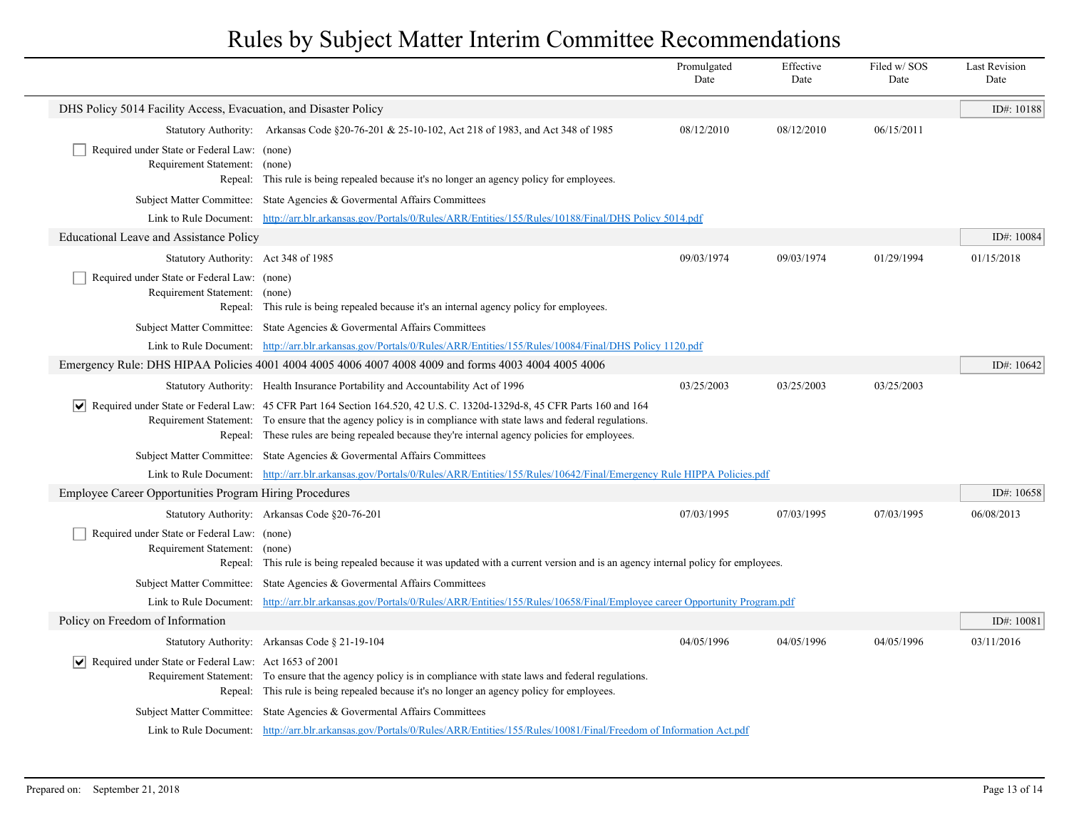|                                                                              |                                                                                                                                                                                                                                                                                                                                                   | Promulgated<br>Date | Effective<br>Date | Filed w/SOS<br>Date | <b>Last Revision</b><br>Date |  |
|------------------------------------------------------------------------------|---------------------------------------------------------------------------------------------------------------------------------------------------------------------------------------------------------------------------------------------------------------------------------------------------------------------------------------------------|---------------------|-------------------|---------------------|------------------------------|--|
| DHS Policy 5014 Facility Access, Evacuation, and Disaster Policy             |                                                                                                                                                                                                                                                                                                                                                   |                     |                   |                     | ID#: 10188                   |  |
|                                                                              | Statutory Authority: Arkansas Code §20-76-201 & 25-10-102, Act 218 of 1983, and Act 348 of 1985                                                                                                                                                                                                                                                   | 08/12/2010          | 08/12/2010        | 06/15/2011          |                              |  |
| Required under State or Federal Law: (none)<br>Requirement Statement: (none) | Repeal: This rule is being repealed because it's no longer an agency policy for employees.                                                                                                                                                                                                                                                        |                     |                   |                     |                              |  |
|                                                                              | Subject Matter Committee: State Agencies & Governental Affairs Committees                                                                                                                                                                                                                                                                         |                     |                   |                     |                              |  |
|                                                                              | Link to Rule Document: http://arr.blr.arkansas.gov/Portals/0/Rules/ARR/Entities/155/Rules/10188/Final/DHS Policy 5014.pdf                                                                                                                                                                                                                         |                     |                   |                     |                              |  |
| <b>Educational Leave and Assistance Policy</b>                               |                                                                                                                                                                                                                                                                                                                                                   |                     |                   |                     | ID#: 10084                   |  |
| Statutory Authority: Act 348 of 1985                                         |                                                                                                                                                                                                                                                                                                                                                   | 09/03/1974          | 09/03/1974        | 01/29/1994          | 01/15/2018                   |  |
| Required under State or Federal Law: (none)<br>Requirement Statement: (none) | Repeal: This rule is being repealed because it's an internal agency policy for employees.                                                                                                                                                                                                                                                         |                     |                   |                     |                              |  |
|                                                                              | Subject Matter Committee: State Agencies & Governental Affairs Committees                                                                                                                                                                                                                                                                         |                     |                   |                     |                              |  |
|                                                                              | Link to Rule Document: http://arr.blr.arkansas.gov/Portals/0/Rules/ARR/Entities/155/Rules/10084/Final/DHS Policy 1120.pdf                                                                                                                                                                                                                         |                     |                   |                     |                              |  |
|                                                                              | Emergency Rule: DHS HIPAA Policies 4001 4004 4005 4006 4007 4008 4009 and forms 4003 4004 4005 4006                                                                                                                                                                                                                                               |                     |                   |                     | ID#: 10642                   |  |
|                                                                              | Statutory Authority: Health Insurance Portability and Accountability Act of 1996                                                                                                                                                                                                                                                                  | 03/25/2003          | 03/25/2003        | 03/25/2003          |                              |  |
|                                                                              | √ Required under State or Federal Law: 45 CFR Part 164 Section 164.520, 42 U.S. C. 1320d-1329d-8, 45 CFR Parts 160 and 164<br>Requirement Statement: To ensure that the agency policy is in compliance with state laws and federal regulations.<br>Repeal: These rules are being repealed because they're internal agency policies for employees. |                     |                   |                     |                              |  |
|                                                                              | Subject Matter Committee: State Agencies & Governental Affairs Committees                                                                                                                                                                                                                                                                         |                     |                   |                     |                              |  |
|                                                                              | Link to Rule Document: http://arr.blr.arkansas.gov/Portals/0/Rules/ARR/Entities/155/Rules/10642/Final/Emergency Rule HIPPA Policies.pdf                                                                                                                                                                                                           |                     |                   |                     |                              |  |
| Employee Career Opportunities Program Hiring Procedures                      |                                                                                                                                                                                                                                                                                                                                                   |                     |                   |                     | ID#: 10658                   |  |
|                                                                              | Statutory Authority: Arkansas Code §20-76-201                                                                                                                                                                                                                                                                                                     | 07/03/1995          | 07/03/1995        | 07/03/1995          | 06/08/2013                   |  |
| Required under State or Federal Law: (none)<br>Requirement Statement: (none) | Repeal: This rule is being repealed because it was updated with a current version and is an agency internal policy for employees.                                                                                                                                                                                                                 |                     |                   |                     |                              |  |
|                                                                              | Subject Matter Committee: State Agencies & Governental Affairs Committees                                                                                                                                                                                                                                                                         |                     |                   |                     |                              |  |
|                                                                              | Link to Rule Document: http://arr.blr.arkansas.gov/Portals/0/Rules/ARR/Entities/155/Rules/10658/Final/Employee career Opportunity Program.pdf                                                                                                                                                                                                     |                     |                   |                     |                              |  |
| Policy on Freedom of Information                                             |                                                                                                                                                                                                                                                                                                                                                   |                     |                   |                     | ID#: 10081                   |  |
|                                                                              | Statutory Authority: Arkansas Code § 21-19-104                                                                                                                                                                                                                                                                                                    | 04/05/1996          | 04/05/1996        | 04/05/1996          | 03/11/2016                   |  |
| $ \mathbf{v} $ Required under State or Federal Law: Act 1653 of 2001         | Requirement Statement: To ensure that the agency policy is in compliance with state laws and federal regulations.<br>Repeal: This rule is being repealed because it's no longer an agency policy for employees.                                                                                                                                   |                     |                   |                     |                              |  |
|                                                                              | Subject Matter Committee: State Agencies & Governental Affairs Committees                                                                                                                                                                                                                                                                         |                     |                   |                     |                              |  |
|                                                                              | Link to Rule Document: http://arr.blr.arkansas.gov/Portals/0/Rules/ARR/Entities/155/Rules/10081/Final/Freedom of Information Act.pdf                                                                                                                                                                                                              |                     |                   |                     |                              |  |